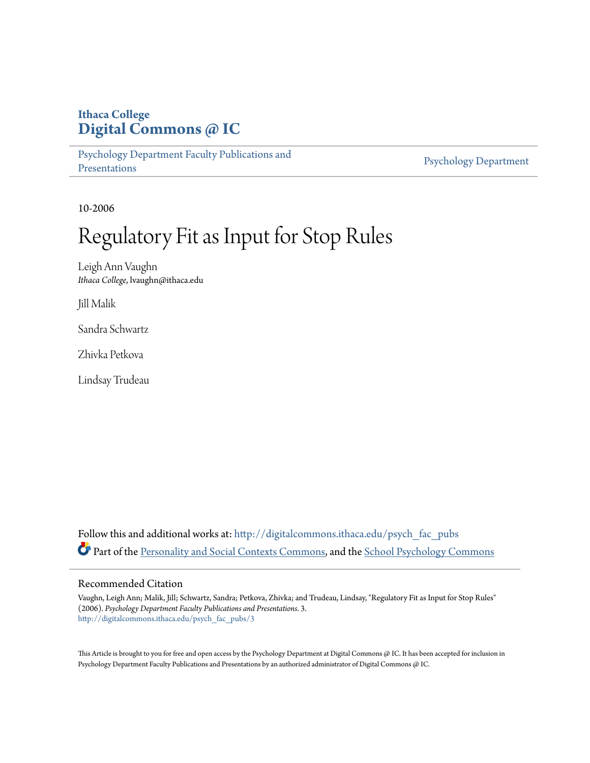## **Ithaca College [Digital Commons @ IC](http://digitalcommons.ithaca.edu?utm_source=digitalcommons.ithaca.edu%2Fpsych_fac_pubs%2F3&utm_medium=PDF&utm_campaign=PDFCoverPages)**

[Psychology Department Faculty Publications and](http://digitalcommons.ithaca.edu/psych_fac_pubs?utm_source=digitalcommons.ithaca.edu%2Fpsych_fac_pubs%2F3&utm_medium=PDF&utm_campaign=PDFCoverPages) [Presentations](http://digitalcommons.ithaca.edu/psych_fac_pubs?utm_source=digitalcommons.ithaca.edu%2Fpsych_fac_pubs%2F3&utm_medium=PDF&utm_campaign=PDFCoverPages)

[Psychology Department](http://digitalcommons.ithaca.edu/psychology?utm_source=digitalcommons.ithaca.edu%2Fpsych_fac_pubs%2F3&utm_medium=PDF&utm_campaign=PDFCoverPages)

10-2006

# Regulatory Fit as Input for Stop Rules

Leigh Ann Vaughn *Ithaca College*, lvaughn@ithaca.edu

Jill Malik

Sandra Schwartz

Zhivka Petkova

Lindsay Trudeau

Follow this and additional works at: [http://digitalcommons.ithaca.edu/psych\\_fac\\_pubs](http://digitalcommons.ithaca.edu/psych_fac_pubs?utm_source=digitalcommons.ithaca.edu%2Fpsych_fac_pubs%2F3&utm_medium=PDF&utm_campaign=PDFCoverPages) Part of the [Personality and Social Contexts Commons,](http://network.bepress.com/hgg/discipline/413?utm_source=digitalcommons.ithaca.edu%2Fpsych_fac_pubs%2F3&utm_medium=PDF&utm_campaign=PDFCoverPages) and the [School Psychology Commons](http://network.bepress.com/hgg/discipline/1072?utm_source=digitalcommons.ithaca.edu%2Fpsych_fac_pubs%2F3&utm_medium=PDF&utm_campaign=PDFCoverPages)

#### Recommended Citation

Vaughn, Leigh Ann; Malik, Jill; Schwartz, Sandra; Petkova, Zhivka; and Trudeau, Lindsay, "Regulatory Fit as Input for Stop Rules" (2006). *Psychology Department Faculty Publications and Presentations*. 3. [http://digitalcommons.ithaca.edu/psych\\_fac\\_pubs/3](http://digitalcommons.ithaca.edu/psych_fac_pubs/3?utm_source=digitalcommons.ithaca.edu%2Fpsych_fac_pubs%2F3&utm_medium=PDF&utm_campaign=PDFCoverPages)

This Article is brought to you for free and open access by the Psychology Department at Digital Commons @ IC. It has been accepted for inclusion in Psychology Department Faculty Publications and Presentations by an authorized administrator of Digital Commons @ IC.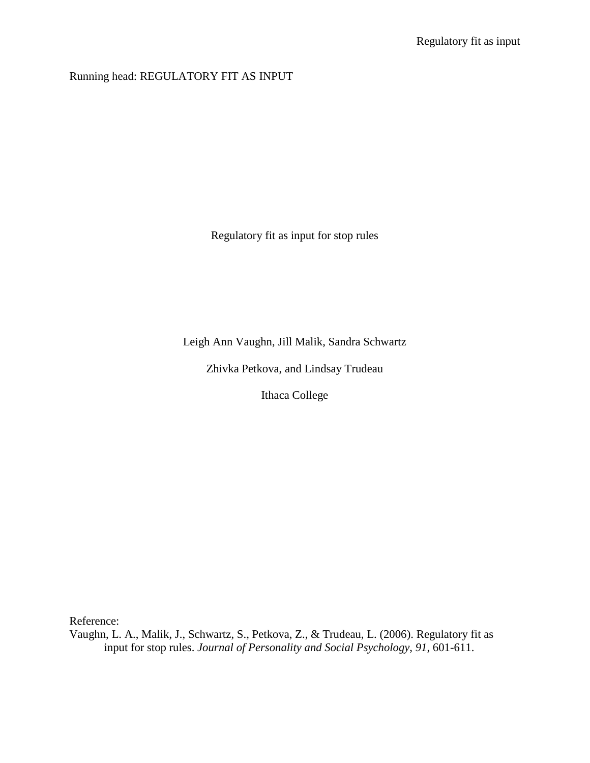### Running head: REGULATORY FIT AS INPUT

Regulatory fit as input for stop rules

Leigh Ann Vaughn, Jill Malik, Sandra Schwartz

Zhivka Petkova, and Lindsay Trudeau

Ithaca College

Reference:

Vaughn, L. A., Malik, J., Schwartz, S., Petkova, Z., & Trudeau, L. (2006). Regulatory fit as input for stop rules. *Journal of Personality and Social Psychology*, *91*, 601-611.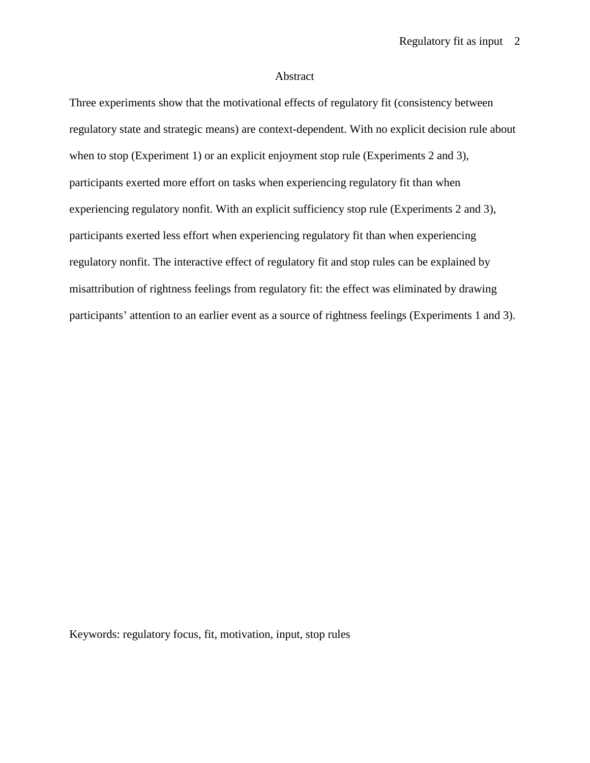#### Abstract

Three experiments show that the motivational effects of regulatory fit (consistency between regulatory state and strategic means) are context-dependent. With no explicit decision rule about when to stop (Experiment 1) or an explicit enjoyment stop rule (Experiments 2 and 3), participants exerted more effort on tasks when experiencing regulatory fit than when experiencing regulatory nonfit. With an explicit sufficiency stop rule (Experiments 2 and 3), participants exerted less effort when experiencing regulatory fit than when experiencing regulatory nonfit. The interactive effect of regulatory fit and stop rules can be explained by misattribution of rightness feelings from regulatory fit: the effect was eliminated by drawing participants' attention to an earlier event as a source of rightness feelings (Experiments 1 and 3).

Keywords: regulatory focus, fit, motivation, input, stop rules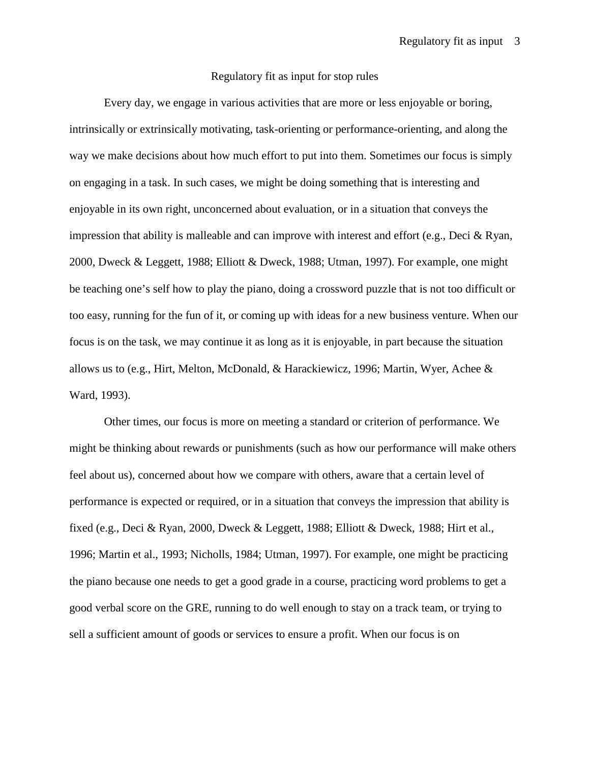#### Regulatory fit as input for stop rules

Every day, we engage in various activities that are more or less enjoyable or boring, intrinsically or extrinsically motivating, task-orienting or performance-orienting, and along the way we make decisions about how much effort to put into them. Sometimes our focus is simply on engaging in a task. In such cases, we might be doing something that is interesting and enjoyable in its own right, unconcerned about evaluation, or in a situation that conveys the impression that ability is malleable and can improve with interest and effort (e.g., Deci & Ryan, 2000, Dweck & Leggett, 1988; Elliott & Dweck, 1988; Utman, 1997). For example, one might be teaching one's self how to play the piano, doing a crossword puzzle that is not too difficult or too easy, running for the fun of it, or coming up with ideas for a new business venture. When our focus is on the task, we may continue it as long as it is enjoyable, in part because the situation allows us to (e.g., Hirt, Melton, McDonald, & Harackiewicz, 1996; Martin, Wyer, Achee & Ward, 1993).

Other times, our focus is more on meeting a standard or criterion of performance. We might be thinking about rewards or punishments (such as how our performance will make others feel about us), concerned about how we compare with others, aware that a certain level of performance is expected or required, or in a situation that conveys the impression that ability is fixed (e.g., Deci & Ryan, 2000, Dweck & Leggett, 1988; Elliott & Dweck, 1988; Hirt et al., 1996; Martin et al., 1993; Nicholls, 1984; Utman, 1997). For example, one might be practicing the piano because one needs to get a good grade in a course, practicing word problems to get a good verbal score on the GRE, running to do well enough to stay on a track team, or trying to sell a sufficient amount of goods or services to ensure a profit. When our focus is on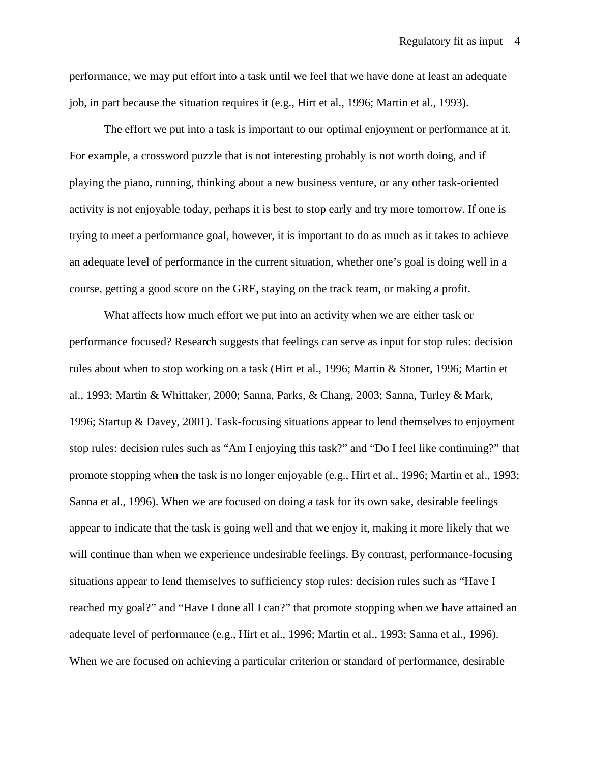performance, we may put effort into a task until we feel that we have done at least an adequate job, in part because the situation requires it (e.g., Hirt et al., 1996; Martin et al., 1993).

The effort we put into a task is important to our optimal enjoyment or performance at it. For example, a crossword puzzle that is not interesting probably is not worth doing, and if playing the piano, running, thinking about a new business venture, or any other task-oriented activity is not enjoyable today, perhaps it is best to stop early and try more tomorrow. If one is trying to meet a performance goal, however, it is important to do as much as it takes to achieve an adequate level of performance in the current situation, whether one's goal is doing well in a course, getting a good score on the GRE, staying on the track team, or making a profit.

What affects how much effort we put into an activity when we are either task or performance focused? Research suggests that feelings can serve as input for stop rules: decision rules about when to stop working on a task (Hirt et al., 1996; Martin & Stoner, 1996; Martin et al., 1993; Martin & Whittaker, 2000; Sanna, Parks, & Chang, 2003; Sanna, Turley & Mark, 1996; Startup & Davey, 2001). Task-focusing situations appear to lend themselves to enjoyment stop rules: decision rules such as "Am I enjoying this task?" and "Do I feel like continuing?" that promote stopping when the task is no longer enjoyable (e.g., Hirt et al., 1996; Martin et al., 1993; Sanna et al., 1996). When we are focused on doing a task for its own sake, desirable feelings appear to indicate that the task is going well and that we enjoy it, making it more likely that we will continue than when we experience undesirable feelings. By contrast, performance-focusing situations appear to lend themselves to sufficiency stop rules: decision rules such as "Have I reached my goal?" and "Have I done all I can?" that promote stopping when we have attained an adequate level of performance (e.g., Hirt et al., 1996; Martin et al., 1993; Sanna et al., 1996). When we are focused on achieving a particular criterion or standard of performance, desirable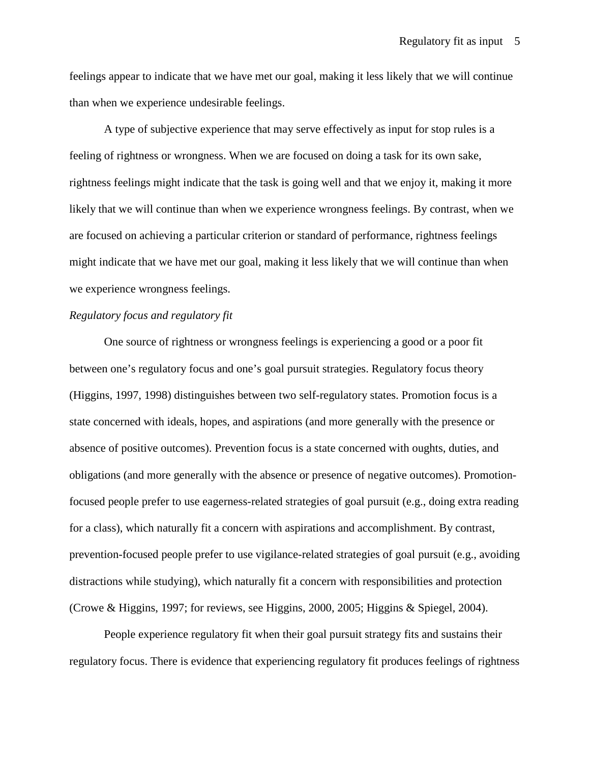feelings appear to indicate that we have met our goal, making it less likely that we will continue than when we experience undesirable feelings.

A type of subjective experience that may serve effectively as input for stop rules is a feeling of rightness or wrongness. When we are focused on doing a task for its own sake, rightness feelings might indicate that the task is going well and that we enjoy it, making it more likely that we will continue than when we experience wrongness feelings. By contrast, when we are focused on achieving a particular criterion or standard of performance, rightness feelings might indicate that we have met our goal, making it less likely that we will continue than when we experience wrongness feelings.

#### *Regulatory focus and regulatory fit*

One source of rightness or wrongness feelings is experiencing a good or a poor fit between one's regulatory focus and one's goal pursuit strategies. Regulatory focus theory (Higgins, 1997, 1998) distinguishes between two self-regulatory states. Promotion focus is a state concerned with ideals, hopes, and aspirations (and more generally with the presence or absence of positive outcomes). Prevention focus is a state concerned with oughts, duties, and obligations (and more generally with the absence or presence of negative outcomes). Promotionfocused people prefer to use eagerness-related strategies of goal pursuit (e.g., doing extra reading for a class), which naturally fit a concern with aspirations and accomplishment. By contrast, prevention-focused people prefer to use vigilance-related strategies of goal pursuit (e.g., avoiding distractions while studying), which naturally fit a concern with responsibilities and protection (Crowe & Higgins, 1997; for reviews, see Higgins, 2000, 2005; Higgins & Spiegel, 2004).

People experience regulatory fit when their goal pursuit strategy fits and sustains their regulatory focus. There is evidence that experiencing regulatory fit produces feelings of rightness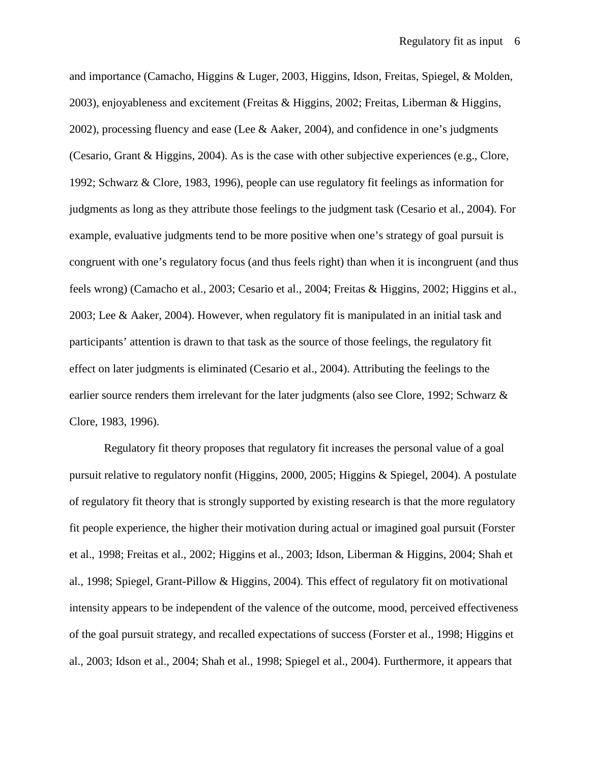and importance (Camacho, Higgins & Luger, 2003, Higgins, Idson, Freitas, Spiegel, & Molden, 2003), enjoyableness and excitement (Freitas & Higgins, 2002; Freitas, Liberman & Higgins, 2002), processing fluency and ease (Lee & Aaker, 2004), and confidence in one's judgments (Cesario, Grant & Higgins, 2004). As is the case with other subjective experiences (e.g., Clore, 1992; Schwarz & Clore, 1983, 1996), people can use regulatory fit feelings as information for judgments as long as they attribute those feelings to the judgment task (Cesario et al., 2004). For example, evaluative judgments tend to be more positive when one's strategy of goal pursuit is congruent with one's regulatory focus (and thus feels right) than when it is incongruent (and thus feels wrong) (Camacho et al., 2003; Cesario et al., 2004; Freitas & Higgins, 2002; Higgins et al., 2003; Lee & Aaker, 2004). However, when regulatory fit is manipulated in an initial task and participants' attention is drawn to that task as the source of those feelings, the regulatory fit effect on later judgments is eliminated (Cesario et al., 2004). Attributing the feelings to the earlier source renders them irrelevant for the later judgments (also see Clore, 1992; Schwarz & Clore, 1983, 1996).

Regulatory fit theory proposes that regulatory fit increases the personal value of a goal pursuit relative to regulatory nonfit (Higgins, 2000, 2005; Higgins & Spiegel, 2004). A postulate of regulatory fit theory that is strongly supported by existing research is that the more regulatory fit people experience, the higher their motivation during actual or imagined goal pursuit (Forster et al., 1998; Freitas et al., 2002; Higgins et al., 2003; Idson, Liberman & Higgins, 2004; Shah et al., 1998; Spiegel, Grant-Pillow & Higgins, 2004). This effect of regulatory fit on motivational intensity appears to be independent of the valence of the outcome, mood, perceived effectiveness of the goal pursuit strategy, and recalled expectations of success (Forster et al., 1998; Higgins et al., 2003; Idson et al., 2004; Shah et al., 1998; Spiegel et al., 2004). Furthermore, it appears that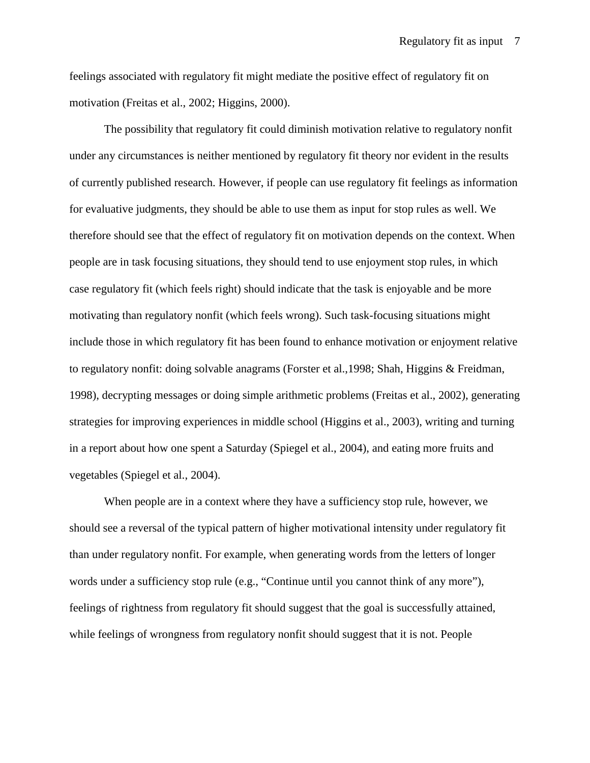feelings associated with regulatory fit might mediate the positive effect of regulatory fit on motivation (Freitas et al., 2002; Higgins, 2000).

The possibility that regulatory fit could diminish motivation relative to regulatory nonfit under any circumstances is neither mentioned by regulatory fit theory nor evident in the results of currently published research. However, if people can use regulatory fit feelings as information for evaluative judgments, they should be able to use them as input for stop rules as well. We therefore should see that the effect of regulatory fit on motivation depends on the context. When people are in task focusing situations, they should tend to use enjoyment stop rules, in which case regulatory fit (which feels right) should indicate that the task is enjoyable and be more motivating than regulatory nonfit (which feels wrong). Such task-focusing situations might include those in which regulatory fit has been found to enhance motivation or enjoyment relative to regulatory nonfit: doing solvable anagrams (Forster et al.,1998; Shah, Higgins & Freidman, 1998), decrypting messages or doing simple arithmetic problems (Freitas et al., 2002), generating strategies for improving experiences in middle school (Higgins et al., 2003), writing and turning in a report about how one spent a Saturday (Spiegel et al., 2004), and eating more fruits and vegetables (Spiegel et al., 2004).

When people are in a context where they have a sufficiency stop rule, however, we should see a reversal of the typical pattern of higher motivational intensity under regulatory fit than under regulatory nonfit. For example, when generating words from the letters of longer words under a sufficiency stop rule (e.g., "Continue until you cannot think of any more"), feelings of rightness from regulatory fit should suggest that the goal is successfully attained, while feelings of wrongness from regulatory nonfit should suggest that it is not. People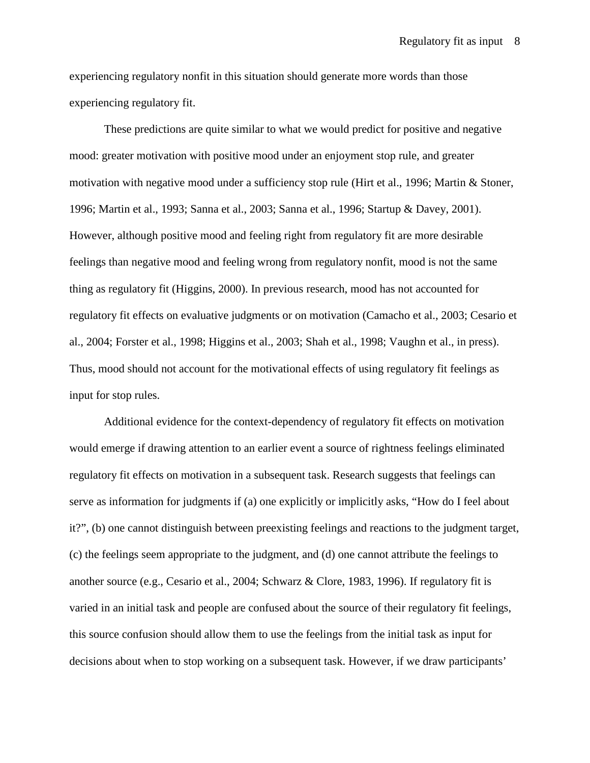experiencing regulatory nonfit in this situation should generate more words than those experiencing regulatory fit.

These predictions are quite similar to what we would predict for positive and negative mood: greater motivation with positive mood under an enjoyment stop rule, and greater motivation with negative mood under a sufficiency stop rule (Hirt et al., 1996; Martin & Stoner, 1996; Martin et al., 1993; Sanna et al., 2003; Sanna et al., 1996; Startup & Davey, 2001). However, although positive mood and feeling right from regulatory fit are more desirable feelings than negative mood and feeling wrong from regulatory nonfit, mood is not the same thing as regulatory fit (Higgins, 2000). In previous research, mood has not accounted for regulatory fit effects on evaluative judgments or on motivation (Camacho et al., 2003; Cesario et al., 2004; Forster et al., 1998; Higgins et al., 2003; Shah et al., 1998; Vaughn et al., in press). Thus, mood should not account for the motivational effects of using regulatory fit feelings as input for stop rules.

Additional evidence for the context-dependency of regulatory fit effects on motivation would emerge if drawing attention to an earlier event a source of rightness feelings eliminated regulatory fit effects on motivation in a subsequent task. Research suggests that feelings can serve as information for judgments if (a) one explicitly or implicitly asks, "How do I feel about it?", (b) one cannot distinguish between preexisting feelings and reactions to the judgment target, (c) the feelings seem appropriate to the judgment, and (d) one cannot attribute the feelings to another source (e.g., Cesario et al., 2004; Schwarz & Clore, 1983, 1996). If regulatory fit is varied in an initial task and people are confused about the source of their regulatory fit feelings, this source confusion should allow them to use the feelings from the initial task as input for decisions about when to stop working on a subsequent task. However, if we draw participants'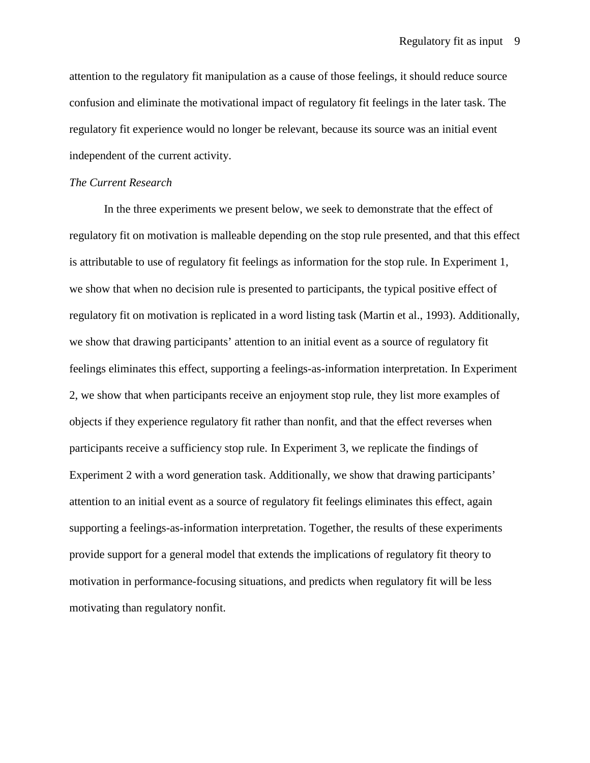attention to the regulatory fit manipulation as a cause of those feelings, it should reduce source confusion and eliminate the motivational impact of regulatory fit feelings in the later task. The regulatory fit experience would no longer be relevant, because its source was an initial event independent of the current activity.

#### *The Current Research*

In the three experiments we present below, we seek to demonstrate that the effect of regulatory fit on motivation is malleable depending on the stop rule presented, and that this effect is attributable to use of regulatory fit feelings as information for the stop rule. In Experiment 1, we show that when no decision rule is presented to participants, the typical positive effect of regulatory fit on motivation is replicated in a word listing task (Martin et al., 1993). Additionally, we show that drawing participants' attention to an initial event as a source of regulatory fit feelings eliminates this effect, supporting a feelings-as-information interpretation. In Experiment 2, we show that when participants receive an enjoyment stop rule, they list more examples of objects if they experience regulatory fit rather than nonfit, and that the effect reverses when participants receive a sufficiency stop rule. In Experiment 3, we replicate the findings of Experiment 2 with a word generation task. Additionally, we show that drawing participants' attention to an initial event as a source of regulatory fit feelings eliminates this effect, again supporting a feelings-as-information interpretation. Together, the results of these experiments provide support for a general model that extends the implications of regulatory fit theory to motivation in performance-focusing situations, and predicts when regulatory fit will be less motivating than regulatory nonfit.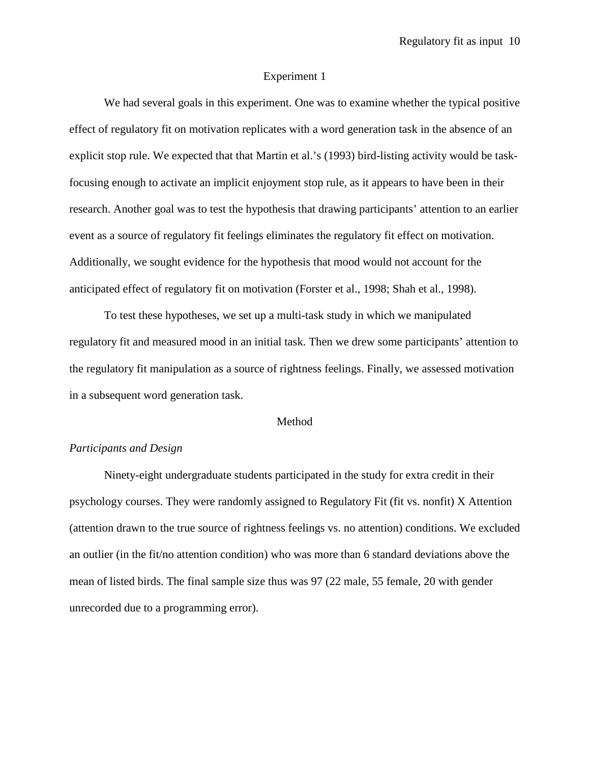#### Experiment 1

We had several goals in this experiment. One was to examine whether the typical positive effect of regulatory fit on motivation replicates with a word generation task in the absence of an explicit stop rule. We expected that that Martin et al.'s (1993) bird-listing activity would be taskfocusing enough to activate an implicit enjoyment stop rule, as it appears to have been in their research. Another goal was to test the hypothesis that drawing participants' attention to an earlier event as a source of regulatory fit feelings eliminates the regulatory fit effect on motivation. Additionally, we sought evidence for the hypothesis that mood would not account for the anticipated effect of regulatory fit on motivation (Forster et al., 1998; Shah et al., 1998).

To test these hypotheses, we set up a multi-task study in which we manipulated regulatory fit and measured mood in an initial task. Then we drew some participants' attention to the regulatory fit manipulation as a source of rightness feelings. Finally, we assessed motivation in a subsequent word generation task.

#### Method

#### *Participants and Design*

Ninety-eight undergraduate students participated in the study for extra credit in their psychology courses. They were randomly assigned to Regulatory Fit (fit vs. nonfit) X Attention (attention drawn to the true source of rightness feelings vs. no attention) conditions. We excluded an outlier (in the fit/no attention condition) who was more than 6 standard deviations above the mean of listed birds. The final sample size thus was 97 (22 male, 55 female, 20 with gender unrecorded due to a programming error).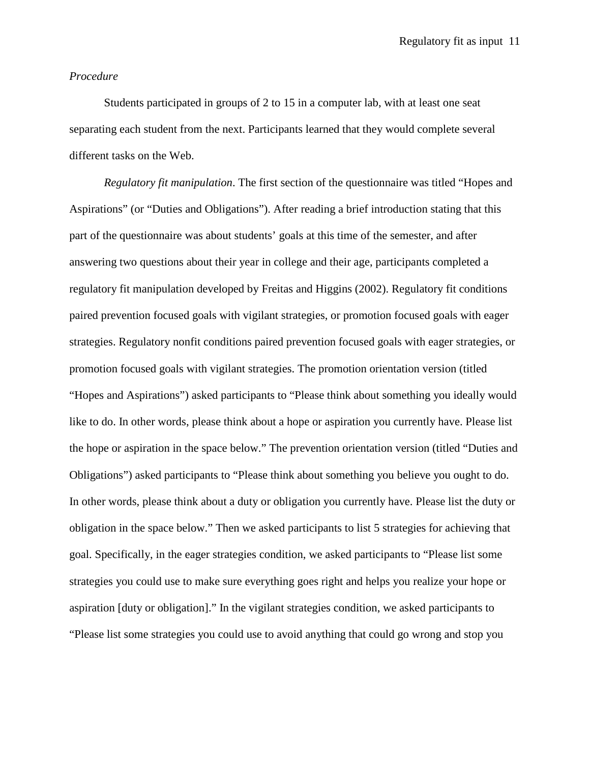#### *Procedure*

Students participated in groups of 2 to 15 in a computer lab, with at least one seat separating each student from the next. Participants learned that they would complete several different tasks on the Web.

*Regulatory fit manipulation*. The first section of the questionnaire was titled "Hopes and Aspirations" (or "Duties and Obligations"). After reading a brief introduction stating that this part of the questionnaire was about students' goals at this time of the semester, and after answering two questions about their year in college and their age, participants completed a regulatory fit manipulation developed by Freitas and Higgins (2002). Regulatory fit conditions paired prevention focused goals with vigilant strategies, or promotion focused goals with eager strategies. Regulatory nonfit conditions paired prevention focused goals with eager strategies, or promotion focused goals with vigilant strategies. The promotion orientation version (titled "Hopes and Aspirations") asked participants to "Please think about something you ideally would like to do. In other words, please think about a hope or aspiration you currently have. Please list the hope or aspiration in the space below." The prevention orientation version (titled "Duties and Obligations") asked participants to "Please think about something you believe you ought to do. In other words, please think about a duty or obligation you currently have. Please list the duty or obligation in the space below." Then we asked participants to list 5 strategies for achieving that goal. Specifically, in the eager strategies condition, we asked participants to "Please list some strategies you could use to make sure everything goes right and helps you realize your hope or aspiration [duty or obligation]." In the vigilant strategies condition, we asked participants to "Please list some strategies you could use to avoid anything that could go wrong and stop you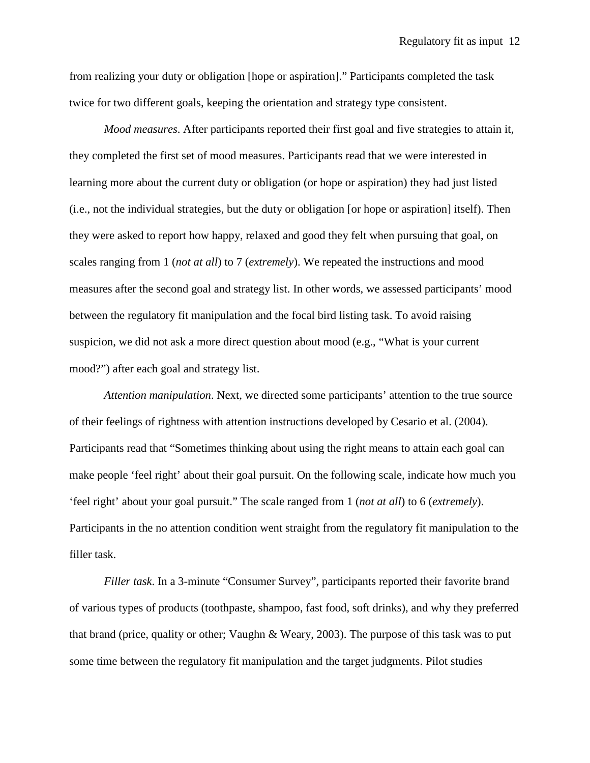from realizing your duty or obligation [hope or aspiration]." Participants completed the task twice for two different goals, keeping the orientation and strategy type consistent.

*Mood measures*. After participants reported their first goal and five strategies to attain it, they completed the first set of mood measures. Participants read that we were interested in learning more about the current duty or obligation (or hope or aspiration) they had just listed (i.e., not the individual strategies, but the duty or obligation [or hope or aspiration] itself). Then they were asked to report how happy, relaxed and good they felt when pursuing that goal, on scales ranging from 1 (*not at all*) to 7 (*extremely*). We repeated the instructions and mood measures after the second goal and strategy list. In other words, we assessed participants' mood between the regulatory fit manipulation and the focal bird listing task. To avoid raising suspicion, we did not ask a more direct question about mood (e.g., "What is your current mood?") after each goal and strategy list.

*Attention manipulation*. Next, we directed some participants' attention to the true source of their feelings of rightness with attention instructions developed by Cesario et al. (2004). Participants read that "Sometimes thinking about using the right means to attain each goal can make people 'feel right' about their goal pursuit. On the following scale, indicate how much you 'feel right' about your goal pursuit." The scale ranged from 1 (*not at all*) to 6 (*extremely*). Participants in the no attention condition went straight from the regulatory fit manipulation to the filler task.

*Filler task*. In a 3-minute "Consumer Survey", participants reported their favorite brand of various types of products (toothpaste, shampoo, fast food, soft drinks), and why they preferred that brand (price, quality or other; Vaughn & Weary, 2003). The purpose of this task was to put some time between the regulatory fit manipulation and the target judgments. Pilot studies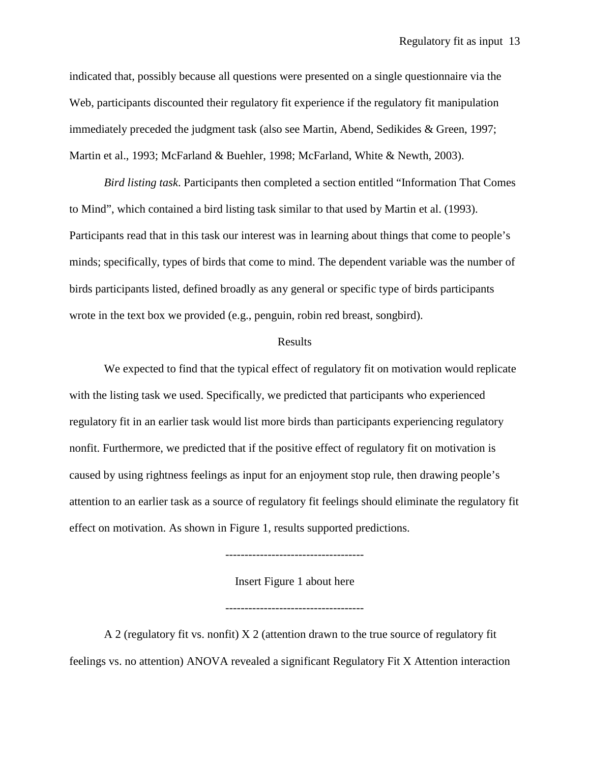indicated that, possibly because all questions were presented on a single questionnaire via the Web, participants discounted their regulatory fit experience if the regulatory fit manipulation immediately preceded the judgment task (also see Martin, Abend, Sedikides & Green, 1997; Martin et al., 1993; McFarland & Buehler, 1998; McFarland, White & Newth, 2003).

*Bird listing task*. Participants then completed a section entitled "Information That Comes to Mind", which contained a bird listing task similar to that used by Martin et al. (1993). Participants read that in this task our interest was in learning about things that come to people's minds; specifically, types of birds that come to mind. The dependent variable was the number of birds participants listed, defined broadly as any general or specific type of birds participants wrote in the text box we provided (e.g., penguin, robin red breast, songbird).

#### Results

We expected to find that the typical effect of regulatory fit on motivation would replicate with the listing task we used. Specifically, we predicted that participants who experienced regulatory fit in an earlier task would list more birds than participants experiencing regulatory nonfit. Furthermore, we predicted that if the positive effect of regulatory fit on motivation is caused by using rightness feelings as input for an enjoyment stop rule, then drawing people's attention to an earlier task as a source of regulatory fit feelings should eliminate the regulatory fit effect on motivation. As shown in Figure 1, results supported predictions.

Insert Figure 1 about here

------------------------------------

------------------------------------

A 2 (regulatory fit vs. nonfit) X 2 (attention drawn to the true source of regulatory fit feelings vs. no attention) ANOVA revealed a significant Regulatory Fit X Attention interaction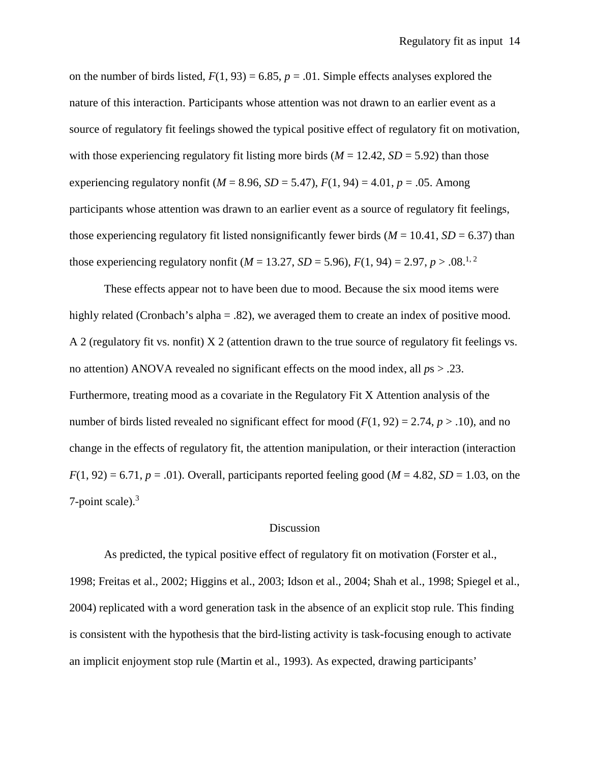on the number of birds listed,  $F(1, 93) = 6.85$ ,  $p = .01$ . Simple effects analyses explored the nature of this interaction. Participants whose attention was not drawn to an earlier event as a source of regulatory fit feelings showed the typical positive effect of regulatory fit on motivation, with those experiencing regulatory fit listing more birds  $(M = 12.42, SD = 5.92)$  than those experiencing regulatory nonfit ( $M = 8.96$ ,  $SD = 5.47$ ),  $F(1, 94) = 4.01$ ,  $p = .05$ . Among participants whose attention was drawn to an earlier event as a source of regulatory fit feelings, those experiencing regulatory fit listed nonsignificantly fewer birds  $(M = 10.41, SD = 6.37)$  than those experiencing regulatory nonfit ( $M = 13.27$ ,  $SD = 5.96$ ),  $F(1, 94) = 2.97$ ,  $p > .08$ .<sup>1, 2</sup>

These effects appear not to have been due to mood. Because the six mood items were highly related (Cronbach's alpha  $= .82$ ), we averaged them to create an index of positive mood. A 2 (regulatory fit vs. nonfit) X 2 (attention drawn to the true source of regulatory fit feelings vs. no attention) ANOVA revealed no significant effects on the mood index, all *p*s > .23. Furthermore, treating mood as a covariate in the Regulatory Fit X Attention analysis of the number of birds listed revealed no significant effect for mood  $(F(1, 92) = 2.74, p > .10)$ , and no change in the effects of regulatory fit, the attention manipulation, or their interaction (interaction  $F(1, 92) = 6.71$ ,  $p = .01$ ). Overall, participants reported feeling good ( $M = 4.82$ ,  $SD = 1.03$ , on the 7-point scale).3

#### Discussion

As predicted, the typical positive effect of regulatory fit on motivation (Forster et al., 1998; Freitas et al., 2002; Higgins et al., 2003; Idson et al., 2004; Shah et al., 1998; Spiegel et al., 2004) replicated with a word generation task in the absence of an explicit stop rule. This finding is consistent with the hypothesis that the bird-listing activity is task-focusing enough to activate an implicit enjoyment stop rule (Martin et al., 1993). As expected, drawing participants'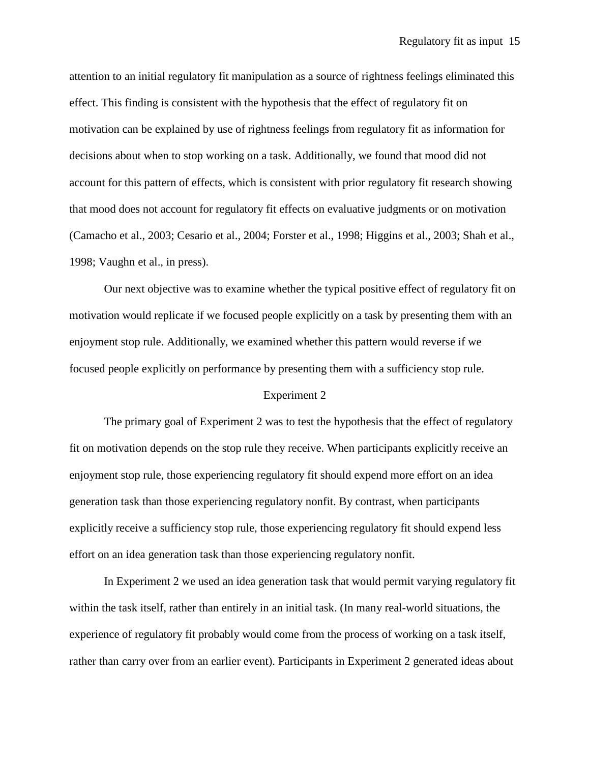attention to an initial regulatory fit manipulation as a source of rightness feelings eliminated this effect. This finding is consistent with the hypothesis that the effect of regulatory fit on motivation can be explained by use of rightness feelings from regulatory fit as information for decisions about when to stop working on a task. Additionally, we found that mood did not account for this pattern of effects, which is consistent with prior regulatory fit research showing that mood does not account for regulatory fit effects on evaluative judgments or on motivation (Camacho et al., 2003; Cesario et al., 2004; Forster et al., 1998; Higgins et al., 2003; Shah et al., 1998; Vaughn et al., in press).

Our next objective was to examine whether the typical positive effect of regulatory fit on motivation would replicate if we focused people explicitly on a task by presenting them with an enjoyment stop rule. Additionally, we examined whether this pattern would reverse if we focused people explicitly on performance by presenting them with a sufficiency stop rule.

#### Experiment 2

The primary goal of Experiment 2 was to test the hypothesis that the effect of regulatory fit on motivation depends on the stop rule they receive. When participants explicitly receive an enjoyment stop rule, those experiencing regulatory fit should expend more effort on an idea generation task than those experiencing regulatory nonfit. By contrast, when participants explicitly receive a sufficiency stop rule, those experiencing regulatory fit should expend less effort on an idea generation task than those experiencing regulatory nonfit.

In Experiment 2 we used an idea generation task that would permit varying regulatory fit within the task itself, rather than entirely in an initial task. (In many real-world situations, the experience of regulatory fit probably would come from the process of working on a task itself, rather than carry over from an earlier event). Participants in Experiment 2 generated ideas about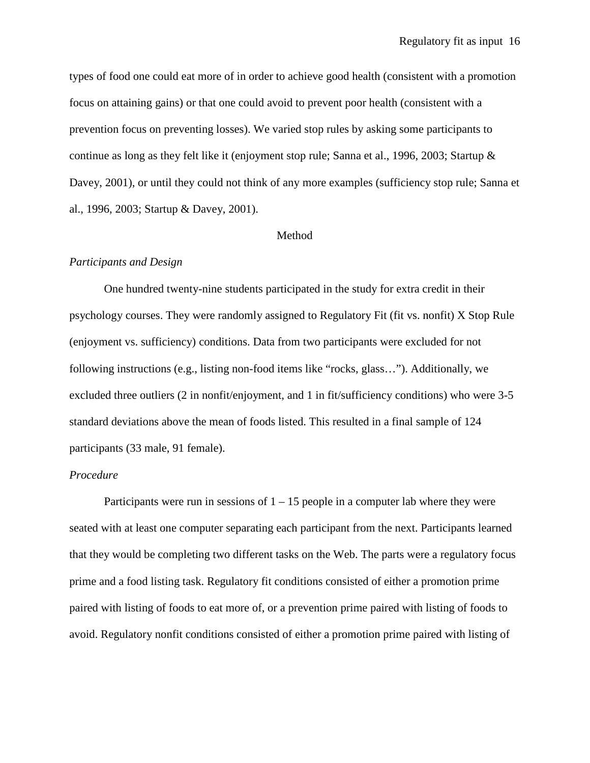types of food one could eat more of in order to achieve good health (consistent with a promotion focus on attaining gains) or that one could avoid to prevent poor health (consistent with a prevention focus on preventing losses). We varied stop rules by asking some participants to continue as long as they felt like it (enjoyment stop rule; Sanna et al., 1996, 2003; Startup  $\&$ Davey, 2001), or until they could not think of any more examples (sufficiency stop rule; Sanna et al., 1996, 2003; Startup & Davey, 2001).

#### Method

#### *Participants and Design*

One hundred twenty-nine students participated in the study for extra credit in their psychology courses. They were randomly assigned to Regulatory Fit (fit vs. nonfit) X Stop Rule (enjoyment vs. sufficiency) conditions. Data from two participants were excluded for not following instructions (e.g., listing non-food items like "rocks, glass…"). Additionally, we excluded three outliers (2 in nonfit/enjoyment, and 1 in fit/sufficiency conditions) who were 3-5 standard deviations above the mean of foods listed. This resulted in a final sample of 124 participants (33 male, 91 female).

#### *Procedure*

Participants were run in sessions of  $1 - 15$  people in a computer lab where they were seated with at least one computer separating each participant from the next. Participants learned that they would be completing two different tasks on the Web. The parts were a regulatory focus prime and a food listing task. Regulatory fit conditions consisted of either a promotion prime paired with listing of foods to eat more of, or a prevention prime paired with listing of foods to avoid. Regulatory nonfit conditions consisted of either a promotion prime paired with listing of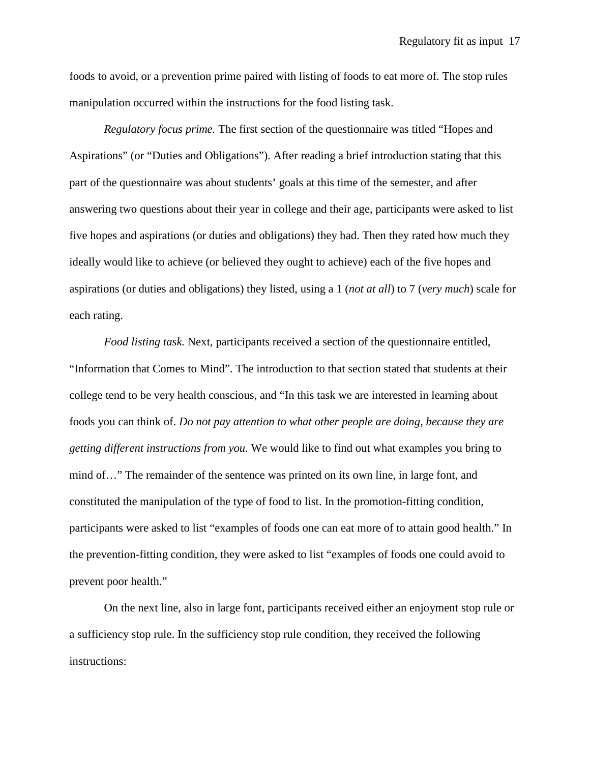foods to avoid, or a prevention prime paired with listing of foods to eat more of. The stop rules manipulation occurred within the instructions for the food listing task.

*Regulatory focus prime.* The first section of the questionnaire was titled "Hopes and Aspirations" (or "Duties and Obligations"). After reading a brief introduction stating that this part of the questionnaire was about students' goals at this time of the semester, and after answering two questions about their year in college and their age, participants were asked to list five hopes and aspirations (or duties and obligations) they had. Then they rated how much they ideally would like to achieve (or believed they ought to achieve) each of the five hopes and aspirations (or duties and obligations) they listed, using a 1 (*not at all*) to 7 (*very much*) scale for each rating.

*Food listing task.* Next, participants received a section of the questionnaire entitled, "Information that Comes to Mind". The introduction to that section stated that students at their college tend to be very health conscious, and "In this task we are interested in learning about foods you can think of. *Do not pay attention to what other people are doing, because they are getting different instructions from you.* We would like to find out what examples you bring to mind of…" The remainder of the sentence was printed on its own line, in large font, and constituted the manipulation of the type of food to list. In the promotion-fitting condition, participants were asked to list "examples of foods one can eat more of to attain good health." In the prevention-fitting condition, they were asked to list "examples of foods one could avoid to prevent poor health."

On the next line, also in large font, participants received either an enjoyment stop rule or a sufficiency stop rule. In the sufficiency stop rule condition, they received the following instructions: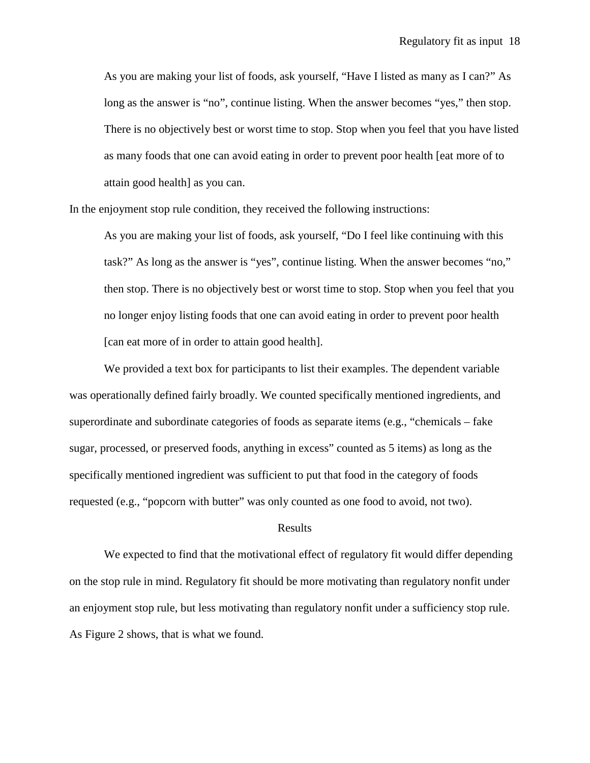As you are making your list of foods, ask yourself, "Have I listed as many as I can?" As long as the answer is "no", continue listing. When the answer becomes "yes," then stop. There is no objectively best or worst time to stop. Stop when you feel that you have listed as many foods that one can avoid eating in order to prevent poor health [eat more of to attain good health] as you can.

In the enjoyment stop rule condition, they received the following instructions:

As you are making your list of foods, ask yourself, "Do I feel like continuing with this task?" As long as the answer is "yes", continue listing. When the answer becomes "no," then stop. There is no objectively best or worst time to stop. Stop when you feel that you no longer enjoy listing foods that one can avoid eating in order to prevent poor health [can eat more of in order to attain good health].

We provided a text box for participants to list their examples. The dependent variable was operationally defined fairly broadly. We counted specifically mentioned ingredients, and superordinate and subordinate categories of foods as separate items (e.g., "chemicals – fake sugar, processed, or preserved foods, anything in excess" counted as 5 items) as long as the specifically mentioned ingredient was sufficient to put that food in the category of foods requested (e.g., "popcorn with butter" was only counted as one food to avoid, not two).

#### Results

We expected to find that the motivational effect of regulatory fit would differ depending on the stop rule in mind. Regulatory fit should be more motivating than regulatory nonfit under an enjoyment stop rule, but less motivating than regulatory nonfit under a sufficiency stop rule. As Figure 2 shows, that is what we found.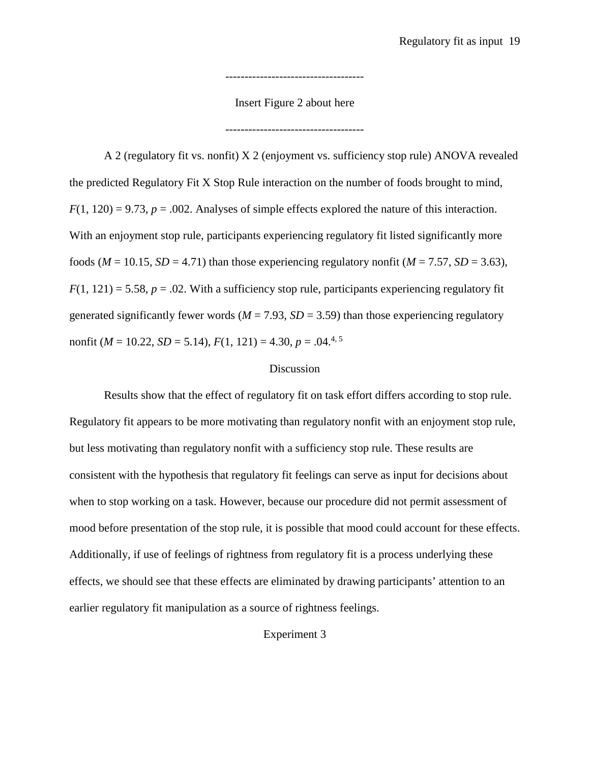------------------------------------

Insert Figure 2 about here

------------------------------------

A 2 (regulatory fit vs. nonfit) X 2 (enjoyment vs. sufficiency stop rule) ANOVA revealed the predicted Regulatory Fit X Stop Rule interaction on the number of foods brought to mind,  $F(1, 120) = 9.73$ ,  $p = .002$ . Analyses of simple effects explored the nature of this interaction. With an enjoyment stop rule, participants experiencing regulatory fit listed significantly more foods ( $M = 10.15$ ,  $SD = 4.71$ ) than those experiencing regulatory nonfit ( $M = 7.57$ ,  $SD = 3.63$ ),  $F(1, 121) = 5.58$ ,  $p = .02$ . With a sufficiency stop rule, participants experiencing regulatory fit generated significantly fewer words ( $M = 7.93$ ,  $SD = 3.59$ ) than those experiencing regulatory nonfit (*M* = 10.22, *SD* = 5.14), *F*(1, 121) = 4.30, *p* = .04. 4, 5

#### **Discussion**

Results show that the effect of regulatory fit on task effort differs according to stop rule. Regulatory fit appears to be more motivating than regulatory nonfit with an enjoyment stop rule, but less motivating than regulatory nonfit with a sufficiency stop rule. These results are consistent with the hypothesis that regulatory fit feelings can serve as input for decisions about when to stop working on a task. However, because our procedure did not permit assessment of mood before presentation of the stop rule, it is possible that mood could account for these effects. Additionally, if use of feelings of rightness from regulatory fit is a process underlying these effects, we should see that these effects are eliminated by drawing participants' attention to an earlier regulatory fit manipulation as a source of rightness feelings.

#### Experiment 3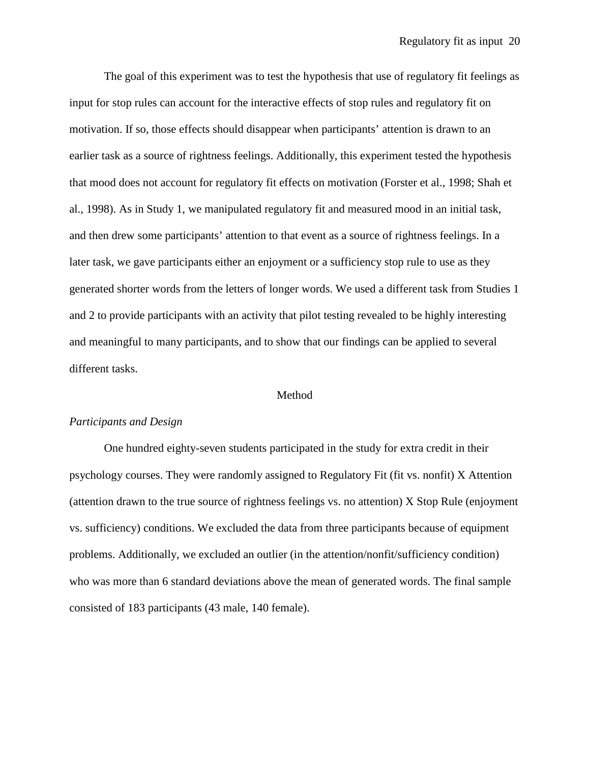The goal of this experiment was to test the hypothesis that use of regulatory fit feelings as input for stop rules can account for the interactive effects of stop rules and regulatory fit on motivation. If so, those effects should disappear when participants' attention is drawn to an earlier task as a source of rightness feelings. Additionally, this experiment tested the hypothesis that mood does not account for regulatory fit effects on motivation (Forster et al., 1998; Shah et al., 1998). As in Study 1, we manipulated regulatory fit and measured mood in an initial task, and then drew some participants' attention to that event as a source of rightness feelings. In a later task, we gave participants either an enjoyment or a sufficiency stop rule to use as they generated shorter words from the letters of longer words. We used a different task from Studies 1 and 2 to provide participants with an activity that pilot testing revealed to be highly interesting and meaningful to many participants, and to show that our findings can be applied to several different tasks.

#### Method

#### *Participants and Design*

One hundred eighty-seven students participated in the study for extra credit in their psychology courses. They were randomly assigned to Regulatory Fit (fit vs. nonfit) X Attention (attention drawn to the true source of rightness feelings vs. no attention) X Stop Rule (enjoyment vs. sufficiency) conditions. We excluded the data from three participants because of equipment problems. Additionally, we excluded an outlier (in the attention/nonfit/sufficiency condition) who was more than 6 standard deviations above the mean of generated words. The final sample consisted of 183 participants (43 male, 140 female).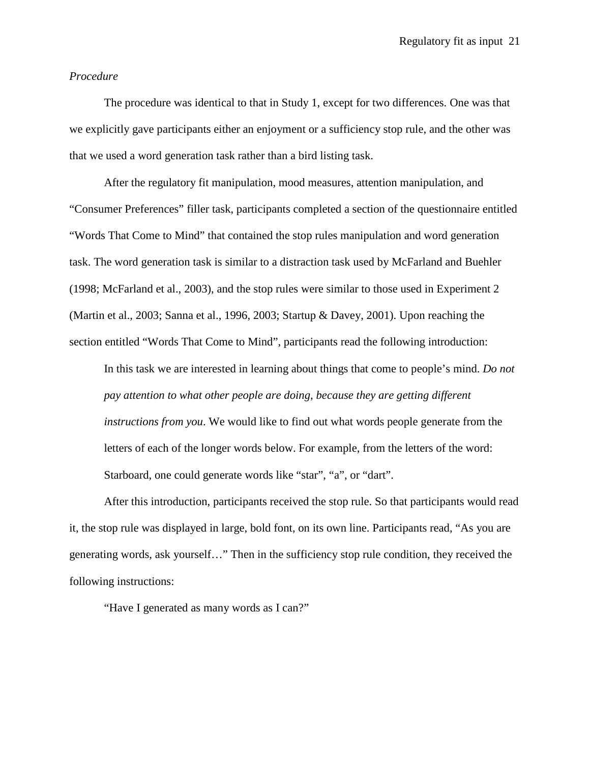#### *Procedure*

The procedure was identical to that in Study 1, except for two differences. One was that we explicitly gave participants either an enjoyment or a sufficiency stop rule, and the other was that we used a word generation task rather than a bird listing task.

After the regulatory fit manipulation, mood measures, attention manipulation, and "Consumer Preferences" filler task, participants completed a section of the questionnaire entitled "Words That Come to Mind" that contained the stop rules manipulation and word generation task. The word generation task is similar to a distraction task used by McFarland and Buehler (1998; McFarland et al., 2003), and the stop rules were similar to those used in Experiment 2 (Martin et al., 2003; Sanna et al., 1996, 2003; Startup & Davey, 2001). Upon reaching the section entitled "Words That Come to Mind", participants read the following introduction:

In this task we are interested in learning about things that come to people's mind. *Do not pay attention to what other people are doing, because they are getting different instructions from you*. We would like to find out what words people generate from the letters of each of the longer words below. For example, from the letters of the word: Starboard, one could generate words like "star", "a", or "dart".

After this introduction, participants received the stop rule. So that participants would read it, the stop rule was displayed in large, bold font, on its own line. Participants read, "As you are generating words, ask yourself…" Then in the sufficiency stop rule condition, they received the following instructions:

"Have I generated as many words as I can?"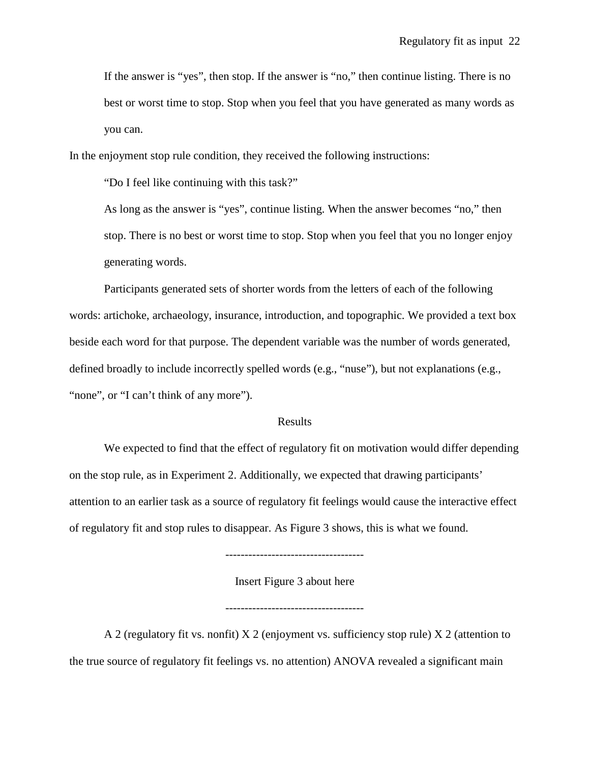If the answer is "yes", then stop. If the answer is "no," then continue listing. There is no best or worst time to stop. Stop when you feel that you have generated as many words as you can.

In the enjoyment stop rule condition, they received the following instructions:

"Do I feel like continuing with this task?"

As long as the answer is "yes", continue listing. When the answer becomes "no," then stop. There is no best or worst time to stop. Stop when you feel that you no longer enjoy generating words.

Participants generated sets of shorter words from the letters of each of the following words: artichoke, archaeology, insurance, introduction, and topographic. We provided a text box beside each word for that purpose. The dependent variable was the number of words generated, defined broadly to include incorrectly spelled words (e.g., "nuse"), but not explanations (e.g., "none", or "I can't think of any more").

#### Results

We expected to find that the effect of regulatory fit on motivation would differ depending on the stop rule, as in Experiment 2. Additionally, we expected that drawing participants' attention to an earlier task as a source of regulatory fit feelings would cause the interactive effect of regulatory fit and stop rules to disappear. As Figure 3 shows, this is what we found.

Insert Figure 3 about here

------------------------------------

------------------------------------

A 2 (regulatory fit vs. nonfit)  $X$  2 (enjoyment vs. sufficiency stop rule)  $X$  2 (attention to the true source of regulatory fit feelings vs. no attention) ANOVA revealed a significant main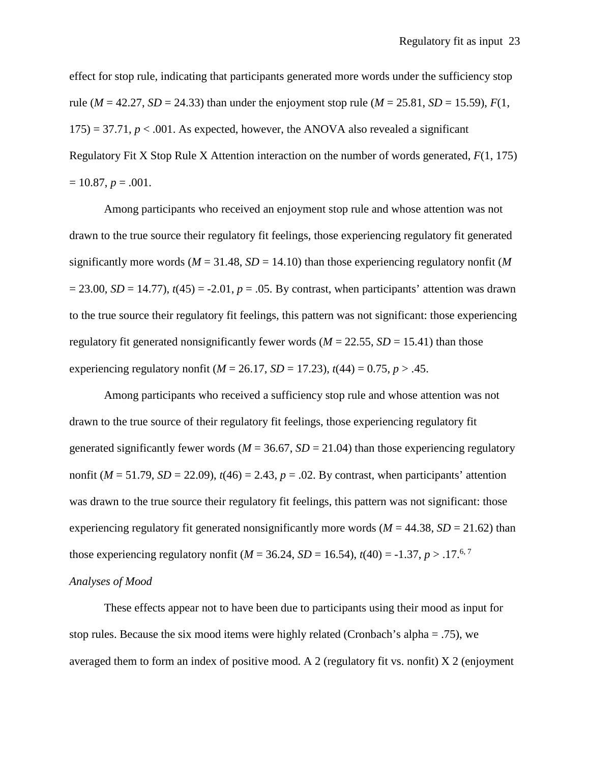effect for stop rule, indicating that participants generated more words under the sufficiency stop rule ( $M = 42.27$ ,  $SD = 24.33$ ) than under the enjoyment stop rule ( $M = 25.81$ ,  $SD = 15.59$ ),  $F(1, 1)$  $175$ ) = 37.71,  $p < .001$ . As expected, however, the ANOVA also revealed a significant Regulatory Fit X Stop Rule X Attention interaction on the number of words generated, *F*(1, 175)  $= 10.87, p = .001.$ 

Among participants who received an enjoyment stop rule and whose attention was not drawn to the true source their regulatory fit feelings, those experiencing regulatory fit generated significantly more words ( $M = 31.48$ ,  $SD = 14.10$ ) than those experiencing regulatory nonfit ( $M$  $= 23.00$ , *SD* = 14.77),  $t(45) = -2.01$ ,  $p = .05$ . By contrast, when participants' attention was drawn to the true source their regulatory fit feelings, this pattern was not significant: those experiencing regulatory fit generated nonsignificantly fewer words ( $M = 22.55$ ,  $SD = 15.41$ ) than those experiencing regulatory nonfit ( $M = 26.17$ ,  $SD = 17.23$ ),  $t(44) = 0.75$ ,  $p > .45$ .

Among participants who received a sufficiency stop rule and whose attention was not drawn to the true source of their regulatory fit feelings, those experiencing regulatory fit generated significantly fewer words ( $M = 36.67$ ,  $SD = 21.04$ ) than those experiencing regulatory nonfit ( $M = 51.79$ ,  $SD = 22.09$ ),  $t(46) = 2.43$ ,  $p = .02$ . By contrast, when participants' attention was drawn to the true source their regulatory fit feelings, this pattern was not significant: those experiencing regulatory fit generated nonsignificantly more words  $(M = 44.38, SD = 21.62)$  than those experiencing regulatory nonfit ( $M = 36.24$ ,  $SD = 16.54$ ),  $t(40) = -1.37$ ,  $p > .17$ .<sup>6, 7</sup> *Analyses of Mood*

These effects appear not to have been due to participants using their mood as input for stop rules. Because the six mood items were highly related (Cronbach's alpha = .75), we averaged them to form an index of positive mood. A 2 (regulatory fit vs. nonfit) X 2 (enjoyment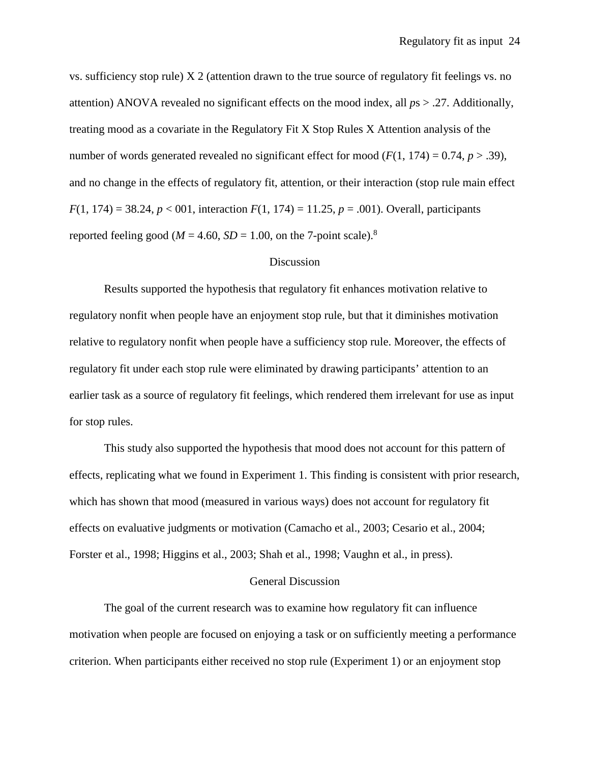vs. sufficiency stop rule) X 2 (attention drawn to the true source of regulatory fit feelings vs. no attention) ANOVA revealed no significant effects on the mood index, all *p*s > .27. Additionally, treating mood as a covariate in the Regulatory Fit X Stop Rules X Attention analysis of the number of words generated revealed no significant effect for mood  $(F(1, 174) = 0.74, p > .39)$ , and no change in the effects of regulatory fit, attention, or their interaction (stop rule main effect  $F(1, 174) = 38.24$ ,  $p < 001$ , interaction  $F(1, 174) = 11.25$ ,  $p = .001$ ). Overall, participants reported feeling good ( $M = 4.60$ ,  $SD = 1.00$ , on the 7-point scale).<sup>8</sup>

#### Discussion

Results supported the hypothesis that regulatory fit enhances motivation relative to regulatory nonfit when people have an enjoyment stop rule, but that it diminishes motivation relative to regulatory nonfit when people have a sufficiency stop rule. Moreover, the effects of regulatory fit under each stop rule were eliminated by drawing participants' attention to an earlier task as a source of regulatory fit feelings, which rendered them irrelevant for use as input for stop rules.

This study also supported the hypothesis that mood does not account for this pattern of effects, replicating what we found in Experiment 1. This finding is consistent with prior research, which has shown that mood (measured in various ways) does not account for regulatory fit effects on evaluative judgments or motivation (Camacho et al., 2003; Cesario et al., 2004; Forster et al., 1998; Higgins et al., 2003; Shah et al., 1998; Vaughn et al., in press).

#### General Discussion

The goal of the current research was to examine how regulatory fit can influence motivation when people are focused on enjoying a task or on sufficiently meeting a performance criterion. When participants either received no stop rule (Experiment 1) or an enjoyment stop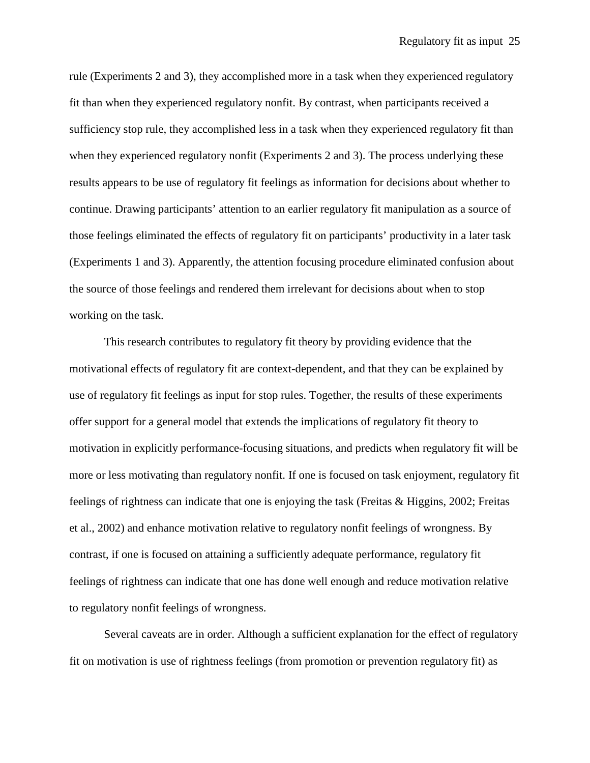rule (Experiments 2 and 3), they accomplished more in a task when they experienced regulatory fit than when they experienced regulatory nonfit. By contrast, when participants received a sufficiency stop rule, they accomplished less in a task when they experienced regulatory fit than when they experienced regulatory nonfit (Experiments 2 and 3). The process underlying these results appears to be use of regulatory fit feelings as information for decisions about whether to continue. Drawing participants' attention to an earlier regulatory fit manipulation as a source of those feelings eliminated the effects of regulatory fit on participants' productivity in a later task (Experiments 1 and 3). Apparently, the attention focusing procedure eliminated confusion about the source of those feelings and rendered them irrelevant for decisions about when to stop working on the task.

This research contributes to regulatory fit theory by providing evidence that the motivational effects of regulatory fit are context-dependent, and that they can be explained by use of regulatory fit feelings as input for stop rules. Together, the results of these experiments offer support for a general model that extends the implications of regulatory fit theory to motivation in explicitly performance-focusing situations, and predicts when regulatory fit will be more or less motivating than regulatory nonfit. If one is focused on task enjoyment, regulatory fit feelings of rightness can indicate that one is enjoying the task (Freitas & Higgins, 2002; Freitas et al., 2002) and enhance motivation relative to regulatory nonfit feelings of wrongness. By contrast, if one is focused on attaining a sufficiently adequate performance, regulatory fit feelings of rightness can indicate that one has done well enough and reduce motivation relative to regulatory nonfit feelings of wrongness.

Several caveats are in order. Although a sufficient explanation for the effect of regulatory fit on motivation is use of rightness feelings (from promotion or prevention regulatory fit) as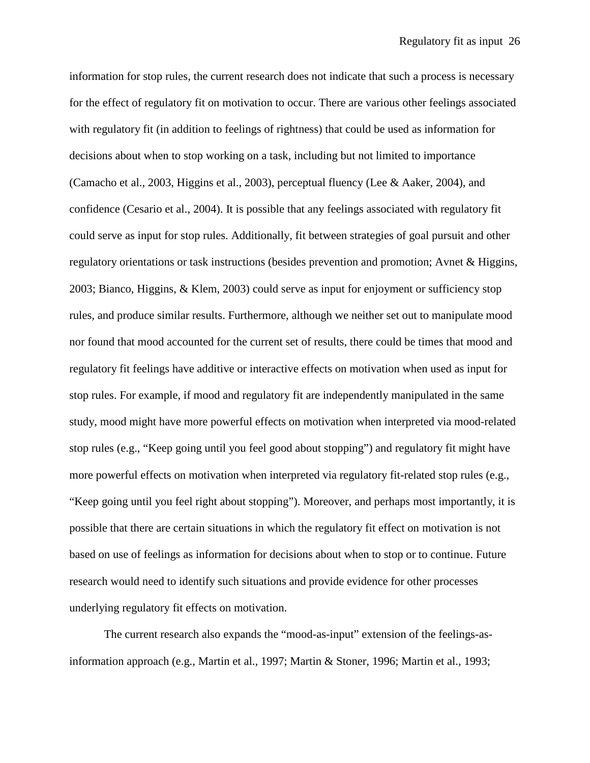information for stop rules, the current research does not indicate that such a process is necessary for the effect of regulatory fit on motivation to occur. There are various other feelings associated with regulatory fit (in addition to feelings of rightness) that could be used as information for decisions about when to stop working on a task, including but not limited to importance (Camacho et al., 2003, Higgins et al., 2003), perceptual fluency (Lee & Aaker, 2004), and confidence (Cesario et al., 2004). It is possible that any feelings associated with regulatory fit could serve as input for stop rules. Additionally, fit between strategies of goal pursuit and other regulatory orientations or task instructions (besides prevention and promotion; Avnet & Higgins, 2003; Bianco, Higgins, & Klem, 2003) could serve as input for enjoyment or sufficiency stop rules, and produce similar results. Furthermore, although we neither set out to manipulate mood nor found that mood accounted for the current set of results, there could be times that mood and regulatory fit feelings have additive or interactive effects on motivation when used as input for stop rules. For example, if mood and regulatory fit are independently manipulated in the same study, mood might have more powerful effects on motivation when interpreted via mood-related stop rules (e.g., "Keep going until you feel good about stopping") and regulatory fit might have more powerful effects on motivation when interpreted via regulatory fit-related stop rules (e.g., "Keep going until you feel right about stopping"). Moreover, and perhaps most importantly, it is possible that there are certain situations in which the regulatory fit effect on motivation is not based on use of feelings as information for decisions about when to stop or to continue. Future research would need to identify such situations and provide evidence for other processes underlying regulatory fit effects on motivation.

The current research also expands the "mood-as-input" extension of the feelings-asinformation approach (e.g., Martin et al., 1997; Martin & Stoner, 1996; Martin et al., 1993;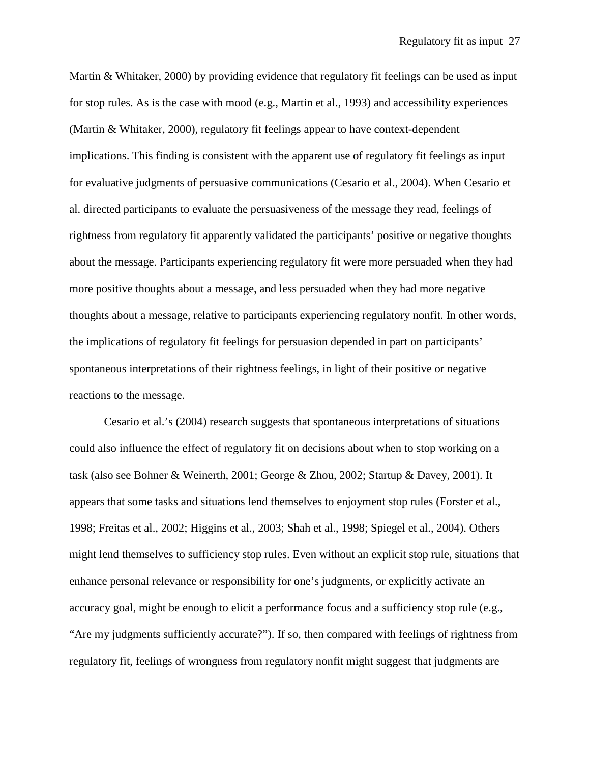Martin & Whitaker, 2000) by providing evidence that regulatory fit feelings can be used as input for stop rules. As is the case with mood (e.g., Martin et al., 1993) and accessibility experiences (Martin & Whitaker, 2000), regulatory fit feelings appear to have context-dependent implications. This finding is consistent with the apparent use of regulatory fit feelings as input for evaluative judgments of persuasive communications (Cesario et al., 2004). When Cesario et al. directed participants to evaluate the persuasiveness of the message they read, feelings of rightness from regulatory fit apparently validated the participants' positive or negative thoughts about the message. Participants experiencing regulatory fit were more persuaded when they had more positive thoughts about a message, and less persuaded when they had more negative thoughts about a message, relative to participants experiencing regulatory nonfit. In other words, the implications of regulatory fit feelings for persuasion depended in part on participants' spontaneous interpretations of their rightness feelings, in light of their positive or negative reactions to the message.

Cesario et al.'s (2004) research suggests that spontaneous interpretations of situations could also influence the effect of regulatory fit on decisions about when to stop working on a task (also see Bohner & Weinerth, 2001; George & Zhou, 2002; Startup & Davey, 2001). It appears that some tasks and situations lend themselves to enjoyment stop rules (Forster et al., 1998; Freitas et al., 2002; Higgins et al., 2003; Shah et al., 1998; Spiegel et al., 2004). Others might lend themselves to sufficiency stop rules. Even without an explicit stop rule, situations that enhance personal relevance or responsibility for one's judgments, or explicitly activate an accuracy goal, might be enough to elicit a performance focus and a sufficiency stop rule (e.g., "Are my judgments sufficiently accurate?"). If so, then compared with feelings of rightness from regulatory fit, feelings of wrongness from regulatory nonfit might suggest that judgments are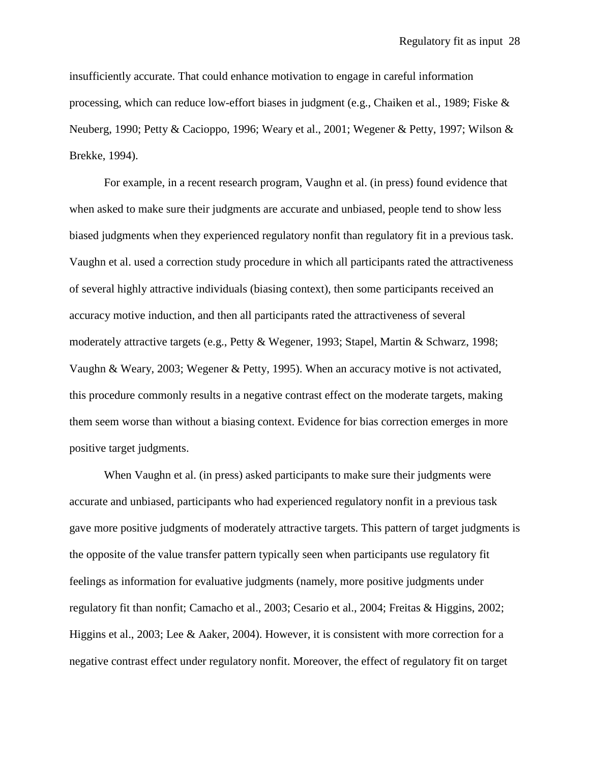insufficiently accurate. That could enhance motivation to engage in careful information processing, which can reduce low-effort biases in judgment (e.g., Chaiken et al., 1989; Fiske & Neuberg, 1990; Petty & Cacioppo, 1996; Weary et al., 2001; Wegener & Petty, 1997; Wilson & Brekke, 1994).

For example, in a recent research program, Vaughn et al. (in press) found evidence that when asked to make sure their judgments are accurate and unbiased, people tend to show less biased judgments when they experienced regulatory nonfit than regulatory fit in a previous task. Vaughn et al. used a correction study procedure in which all participants rated the attractiveness of several highly attractive individuals (biasing context), then some participants received an accuracy motive induction, and then all participants rated the attractiveness of several moderately attractive targets (e.g., Petty & Wegener, 1993; Stapel, Martin & Schwarz, 1998; Vaughn & Weary, 2003; Wegener & Petty, 1995). When an accuracy motive is not activated, this procedure commonly results in a negative contrast effect on the moderate targets, making them seem worse than without a biasing context. Evidence for bias correction emerges in more positive target judgments.

When Vaughn et al. (in press) asked participants to make sure their judgments were accurate and unbiased, participants who had experienced regulatory nonfit in a previous task gave more positive judgments of moderately attractive targets. This pattern of target judgments is the opposite of the value transfer pattern typically seen when participants use regulatory fit feelings as information for evaluative judgments (namely, more positive judgments under regulatory fit than nonfit; Camacho et al., 2003; Cesario et al., 2004; Freitas & Higgins, 2002; Higgins et al., 2003; Lee & Aaker, 2004). However, it is consistent with more correction for a negative contrast effect under regulatory nonfit. Moreover, the effect of regulatory fit on target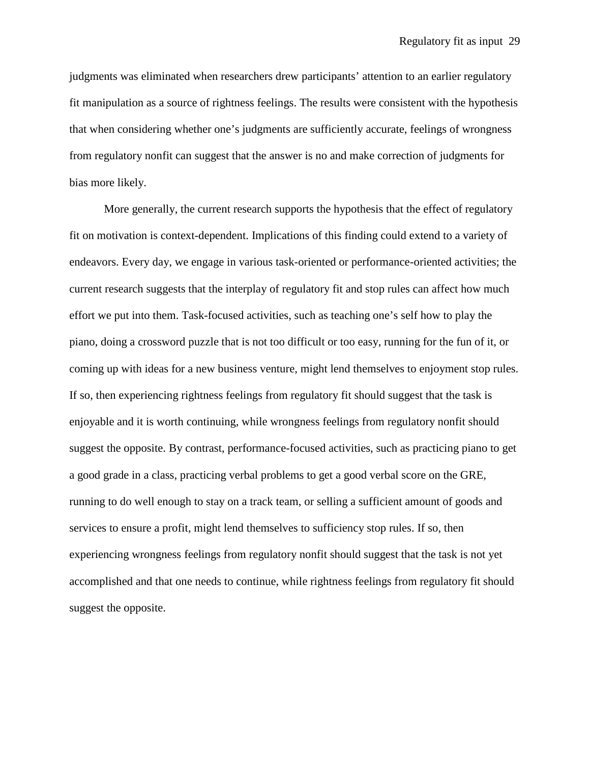judgments was eliminated when researchers drew participants' attention to an earlier regulatory fit manipulation as a source of rightness feelings. The results were consistent with the hypothesis that when considering whether one's judgments are sufficiently accurate, feelings of wrongness from regulatory nonfit can suggest that the answer is no and make correction of judgments for bias more likely.

More generally, the current research supports the hypothesis that the effect of regulatory fit on motivation is context-dependent. Implications of this finding could extend to a variety of endeavors. Every day, we engage in various task-oriented or performance-oriented activities; the current research suggests that the interplay of regulatory fit and stop rules can affect how much effort we put into them. Task-focused activities, such as teaching one's self how to play the piano, doing a crossword puzzle that is not too difficult or too easy, running for the fun of it, or coming up with ideas for a new business venture, might lend themselves to enjoyment stop rules. If so, then experiencing rightness feelings from regulatory fit should suggest that the task is enjoyable and it is worth continuing, while wrongness feelings from regulatory nonfit should suggest the opposite. By contrast, performance-focused activities, such as practicing piano to get a good grade in a class, practicing verbal problems to get a good verbal score on the GRE, running to do well enough to stay on a track team, or selling a sufficient amount of goods and services to ensure a profit, might lend themselves to sufficiency stop rules. If so, then experiencing wrongness feelings from regulatory nonfit should suggest that the task is not yet accomplished and that one needs to continue, while rightness feelings from regulatory fit should suggest the opposite.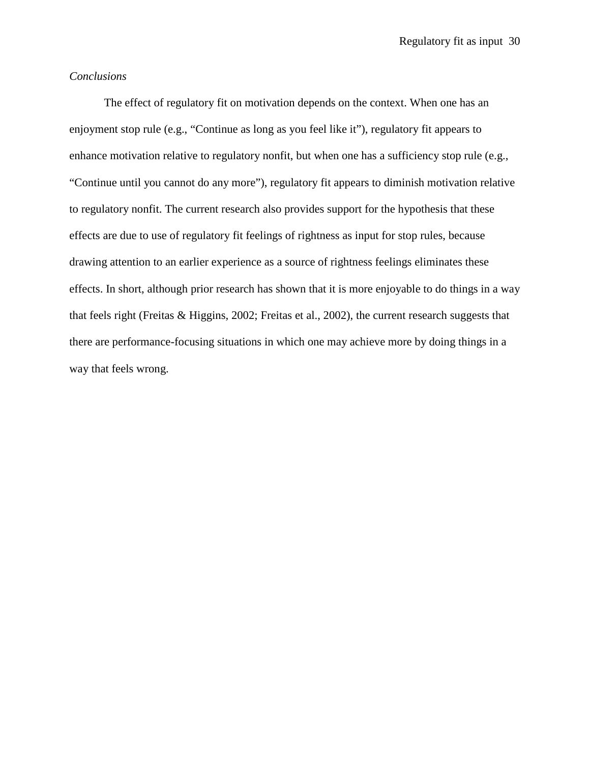#### *Conclusions*

The effect of regulatory fit on motivation depends on the context. When one has an enjoyment stop rule (e.g., "Continue as long as you feel like it"), regulatory fit appears to enhance motivation relative to regulatory nonfit, but when one has a sufficiency stop rule (e.g., "Continue until you cannot do any more"), regulatory fit appears to diminish motivation relative to regulatory nonfit. The current research also provides support for the hypothesis that these effects are due to use of regulatory fit feelings of rightness as input for stop rules, because drawing attention to an earlier experience as a source of rightness feelings eliminates these effects. In short, although prior research has shown that it is more enjoyable to do things in a way that feels right (Freitas & Higgins, 2002; Freitas et al., 2002), the current research suggests that there are performance-focusing situations in which one may achieve more by doing things in a way that feels wrong.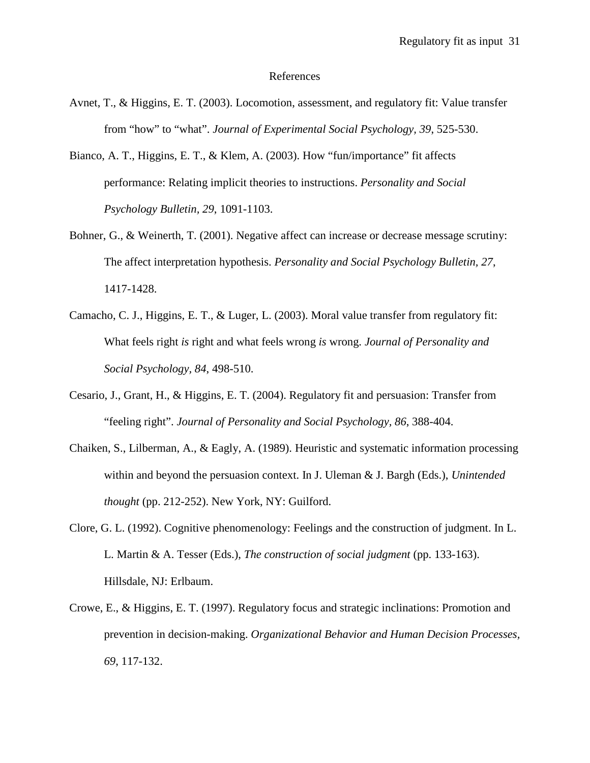#### References

- Avnet, T., & Higgins, E. T. (2003). Locomotion, assessment, and regulatory fit: Value transfer from "how" to "what". *Journal of Experimental Social Psychology, 39*, 525-530.
- Bianco, A. T., Higgins, E. T., & Klem, A. (2003). How "fun/importance" fit affects performance: Relating implicit theories to instructions. *Personality and Social Psychology Bulletin, 29*, 1091-1103.
- Bohner, G., & Weinerth, T. (2001). Negative affect can increase or decrease message scrutiny: The affect interpretation hypothesis. *Personality and Social Psychology Bulletin, 27*, 1417-1428.
- Camacho, C. J., Higgins, E. T., & Luger, L. (2003). Moral value transfer from regulatory fit: What feels right *is* right and what feels wrong *is* wrong. *Journal of Personality and Social Psychology, 84*, 498-510.
- Cesario, J., Grant, H., & Higgins, E. T. (2004). Regulatory fit and persuasion: Transfer from "feeling right". *Journal of Personality and Social Psychology, 86*, 388-404.
- Chaiken, S., Lilberman, A., & Eagly, A. (1989). Heuristic and systematic information processing within and beyond the persuasion context. In J. Uleman & J. Bargh (Eds.), *Unintended thought* (pp. 212-252). New York, NY: Guilford.
- Clore, G. L. (1992). Cognitive phenomenology: Feelings and the construction of judgment. In L. L. Martin & A. Tesser (Eds.), *The construction of social judgment* (pp. 133-163). Hillsdale, NJ: Erlbaum.
- Crowe, E., & Higgins, E. T. (1997). Regulatory focus and strategic inclinations: Promotion and prevention in decision-making. *Organizational Behavior and Human Decision Processes, 69*, 117-132.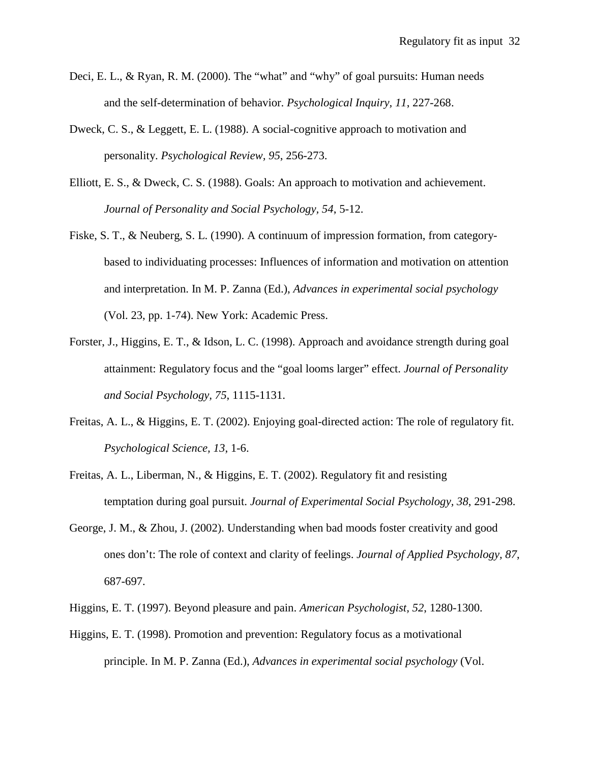- Deci, E. L., & Ryan, R. M. (2000). The "what" and "why" of goal pursuits: Human needs and the self-determination of behavior. *Psychological Inquiry, 11*, 227-268.
- Dweck, C. S., & Leggett, E. L. (1988). A social-cognitive approach to motivation and personality. *Psychological Review, 95*, 256-273.
- Elliott, E. S., & Dweck, C. S. (1988). Goals: An approach to motivation and achievement. *Journal of Personality and Social Psychology, 54*, 5-12.
- Fiske, S. T., & Neuberg, S. L. (1990). A continuum of impression formation, from categorybased to individuating processes: Influences of information and motivation on attention and interpretation. In M. P. Zanna (Ed.), *Advances in experimental social psychology* (Vol. 23, pp. 1-74). New York: Academic Press.
- Forster, J., Higgins, E. T., & Idson, L. C. (1998). Approach and avoidance strength during goal attainment: Regulatory focus and the "goal looms larger" effect. *Journal of Personality and Social Psychology, 75*, 1115-1131.
- Freitas, A. L., & Higgins, E. T. (2002). Enjoying goal-directed action: The role of regulatory fit. *Psychological Science, 13*, 1-6.
- Freitas, A. L., Liberman, N., & Higgins, E. T. (2002). Regulatory fit and resisting temptation during goal pursuit. *Journal of Experimental Social Psychology, 38*, 291-298.
- George, J. M., & Zhou, J. (2002). Understanding when bad moods foster creativity and good ones don't: The role of context and clarity of feelings. *Journal of Applied Psychology, 87*, 687-697.
- Higgins, E. T. (1997). Beyond pleasure and pain. *American Psychologist, 52*, 1280-1300.
- Higgins, E. T. (1998). Promotion and prevention: Regulatory focus as a motivational principle. In M. P. Zanna (Ed.), *Advances in experimental social psychology* (Vol.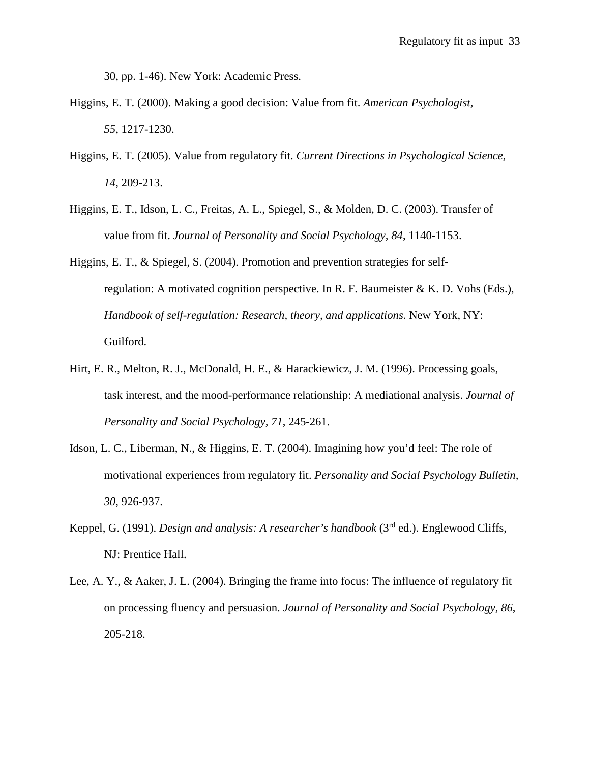30, pp. 1-46). New York: Academic Press.

- Higgins, E. T. (2000). Making a good decision: Value from fit. *American Psychologist, 55*, 1217-1230.
- Higgins, E. T. (2005). Value from regulatory fit. *Current Directions in Psychological Science, 14*, 209-213.
- Higgins, E. T., Idson, L. C., Freitas, A. L., Spiegel, S., & Molden, D. C. (2003). Transfer of value from fit. *Journal of Personality and Social Psychology, 84*, 1140-1153.
- Higgins, E. T., & Spiegel, S. (2004). Promotion and prevention strategies for selfregulation: A motivated cognition perspective. In R. F. Baumeister & K. D. Vohs (Eds.), *Handbook of self-regulation: Research, theory, and applications*. New York, NY: Guilford.
- Hirt, E. R., Melton, R. J., McDonald, H. E., & Harackiewicz, J. M. (1996). Processing goals, task interest, and the mood-performance relationship: A mediational analysis. *Journal of Personality and Social Psychology, 71*, 245-261.
- Idson, L. C., Liberman, N., & Higgins, E. T. (2004). Imagining how you'd feel: The role of motivational experiences from regulatory fit. *Personality and Social Psychology Bulletin, 30*, 926-937.
- Keppel, G. (1991). *Design and analysis: A researcher's handbook* (3<sup>rd</sup> ed.). Englewood Cliffs, NJ: Prentice Hall.
- Lee, A. Y., & Aaker, J. L. (2004). Bringing the frame into focus: The influence of regulatory fit on processing fluency and persuasion. *Journal of Personality and Social Psychology, 86*, 205-218.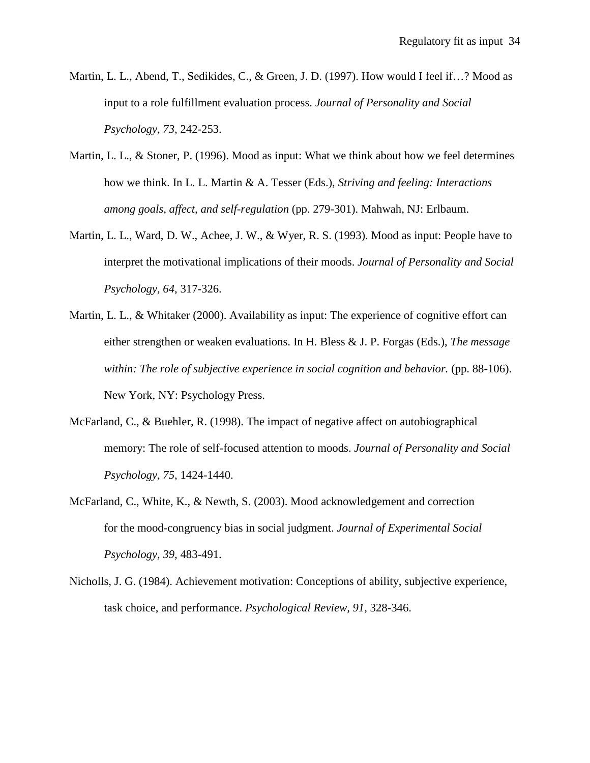- Martin, L. L., Abend, T., Sedikides, C., & Green, J. D. (1997). How would I feel if...? Mood as input to a role fulfillment evaluation process. *Journal of Personality and Social Psychology, 73,* 242-253.
- Martin, L. L., & Stoner, P. (1996). Mood as input: What we think about how we feel determines how we think. In L. L. Martin & A. Tesser (Eds.), *Striving and feeling: Interactions among goals, affect, and self-regulation* (pp. 279-301). Mahwah, NJ: Erlbaum.
- Martin, L. L., Ward, D. W., Achee, J. W., & Wyer, R. S. (1993). Mood as input: People have to interpret the motivational implications of their moods. *Journal of Personality and Social Psychology, 64*, 317-326.
- Martin, L. L., & Whitaker (2000). Availability as input: The experience of cognitive effort can either strengthen or weaken evaluations. In H. Bless & J. P. Forgas (Eds.), *The message within: The role of subjective experience in social cognition and behavior.* (pp. 88-106). New York, NY: Psychology Press.
- McFarland, C., & Buehler, R. (1998). The impact of negative affect on autobiographical memory: The role of self-focused attention to moods. *Journal of Personality and Social Psychology, 75*, 1424-1440.
- McFarland, C., White, K., & Newth, S. (2003). Mood acknowledgement and correction for the mood-congruency bias in social judgment. *Journal of Experimental Social Psychology, 39*, 483-491.
- Nicholls, J. G. (1984). Achievement motivation: Conceptions of ability, subjective experience, task choice, and performance. *Psychological Review, 91*, 328-346.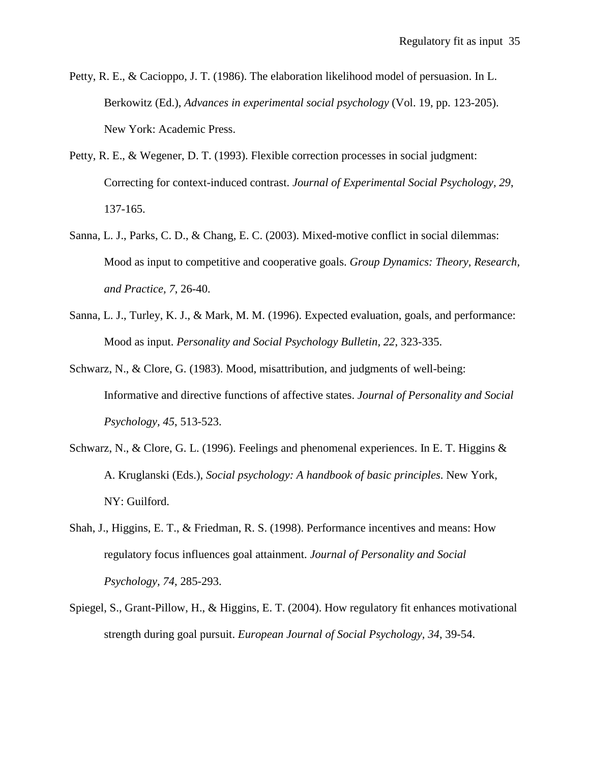- Petty, R. E., & Cacioppo, J. T. (1986). The elaboration likelihood model of persuasion. In L. Berkowitz (Ed.), *Advances in experimental social psychology* (Vol. 19, pp. 123-205). New York: Academic Press.
- Petty, R. E., & Wegener, D. T. (1993). Flexible correction processes in social judgment: Correcting for context-induced contrast. *Journal of Experimental Social Psychology, 29*, 137-165.
- Sanna, L. J., Parks, C. D., & Chang, E. C. (2003). Mixed-motive conflict in social dilemmas: Mood as input to competitive and cooperative goals. *Group Dynamics: Theory, Research, and Practice, 7*, 26-40.
- Sanna, L. J., Turley, K. J., & Mark, M. M. (1996). Expected evaluation, goals, and performance: Mood as input. *Personality and Social Psychology Bulletin, 22*, 323-335.
- Schwarz, N., & Clore, G. (1983). Mood, misattribution, and judgments of well-being: Informative and directive functions of affective states. *Journal of Personality and Social Psychology, 45*, 513-523.
- Schwarz, N., & Clore, G. L. (1996). Feelings and phenomenal experiences. In E. T. Higgins & A. Kruglanski (Eds.), *Social psychology: A handbook of basic principles*. New York, NY: Guilford.
- Shah, J., Higgins, E. T., & Friedman, R. S. (1998). Performance incentives and means: How regulatory focus influences goal attainment. *Journal of Personality and Social Psychology, 74*, 285-293.
- Spiegel, S., Grant-Pillow, H., & Higgins, E. T. (2004). How regulatory fit enhances motivational strength during goal pursuit. *European Journal of Social Psychology, 34*, 39-54.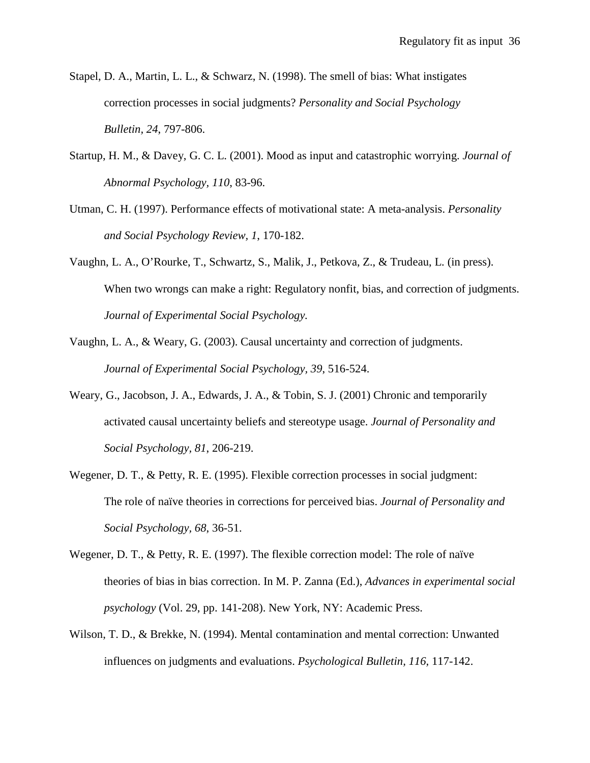- Stapel, D. A., Martin, L. L., & Schwarz, N. (1998). The smell of bias: What instigates correction processes in social judgments? *Personality and Social Psychology Bulletin, 24*, 797-806.
- Startup, H. M., & Davey, G. C. L. (2001). Mood as input and catastrophic worrying. *Journal of Abnormal Psychology, 110*, 83-96.
- Utman, C. H. (1997). Performance effects of motivational state: A meta-analysis. *Personality and Social Psychology Review, 1*, 170-182.
- Vaughn, L. A., O'Rourke, T., Schwartz, S., Malik, J., Petkova, Z., & Trudeau, L. (in press). When two wrongs can make a right: Regulatory nonfit, bias, and correction of judgments. *Journal of Experimental Social Psychology.*
- Vaughn, L. A., & Weary, G. (2003). Causal uncertainty and correction of judgments. *Journal of Experimental Social Psychology, 39*, 516-524.
- Weary, G., Jacobson, J. A., Edwards, J. A., & Tobin, S. J. (2001) Chronic and temporarily activated causal uncertainty beliefs and stereotype usage. *Journal of Personality and Social Psychology, 81*, 206-219.
- Wegener, D. T., & Petty, R. E. (1995). Flexible correction processes in social judgment: The role of naïve theories in corrections for perceived bias. *Journal of Personality and Social Psychology, 68*, 36-51.
- Wegener, D. T., & Petty, R. E. (1997). The flexible correction model: The role of naïve theories of bias in bias correction. In M. P. Zanna (Ed.), *Advances in experimental social psychology* (Vol. 29, pp. 141-208). New York, NY: Academic Press.
- Wilson, T. D., & Brekke, N. (1994). Mental contamination and mental correction: Unwanted influences on judgments and evaluations. *Psychological Bulletin, 116,* 117-142.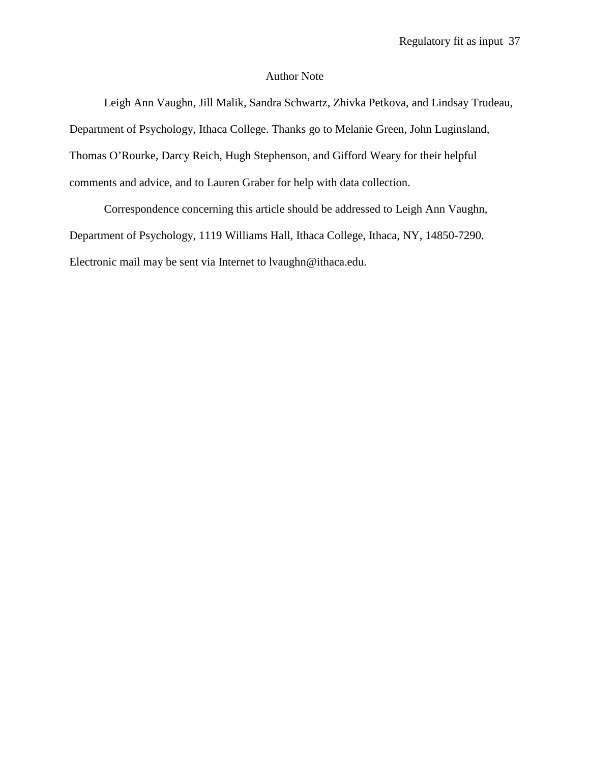#### Author Note

Leigh Ann Vaughn, Jill Malik, Sandra Schwartz, Zhivka Petkova, and Lindsay Trudeau, Department of Psychology, Ithaca College. Thanks go to Melanie Green, John Luginsland, Thomas O'Rourke, Darcy Reich, Hugh Stephenson, and Gifford Weary for their helpful comments and advice, and to Lauren Graber for help with data collection.

Correspondence concerning this article should be addressed to Leigh Ann Vaughn, Department of Psychology, 1119 Williams Hall, Ithaca College, Ithaca, NY, 14850-7290. Electronic mail may be sent via Internet to lvaughn@ithaca.edu.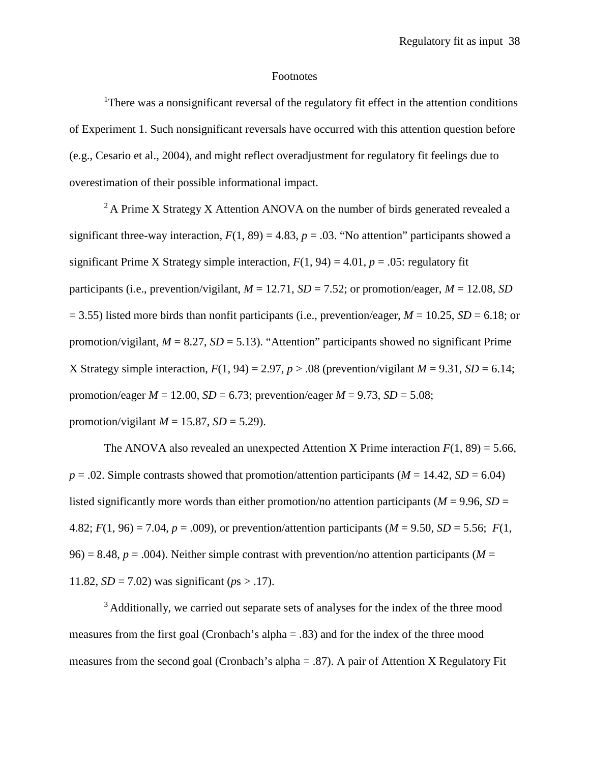#### Footnotes

<sup>1</sup>There was a nonsignificant reversal of the regulatory fit effect in the attention conditions of Experiment 1. Such nonsignificant reversals have occurred with this attention question before (e.g., Cesario et al., 2004), and might reflect overadjustment for regulatory fit feelings due to overestimation of their possible informational impact.

 $2A$  Prime X Strategy X Attention ANOVA on the number of birds generated revealed a significant three-way interaction,  $F(1, 89) = 4.83$ ,  $p = .03$ . "No attention" participants showed a significant Prime X Strategy simple interaction,  $F(1, 94) = 4.01$ ,  $p = .05$ : regulatory fit participants (i.e., prevention/vigilant,  $M = 12.71$ ,  $SD = 7.52$ ; or promotion/eager,  $M = 12.08$ , *SD*  $= 3.55$ ) listed more birds than nonfit participants (i.e., prevention/eager,  $M = 10.25$ ,  $SD = 6.18$ ; or promotion/vigilant,  $M = 8.27$ ,  $SD = 5.13$ ). "Attention" participants showed no significant Prime X Strategy simple interaction,  $F(1, 94) = 2.97$ ,  $p > .08$  (prevention/vigilant  $M = 9.31$ ,  $SD = 6.14$ ; promotion/eager  $M = 12.00$ ,  $SD = 6.73$ ; prevention/eager  $M = 9.73$ ,  $SD = 5.08$ ; promotion/vigilant  $M = 15.87$ ,  $SD = 5.29$ ).

The ANOVA also revealed an unexpected Attention X Prime interaction  $F(1, 89) = 5.66$ ,  $p = .02$ . Simple contrasts showed that promotion/attention participants ( $M = 14.42$ ,  $SD = 6.04$ ) listed significantly more words than either promotion/no attention participants ( $M = 9.96$ ,  $SD =$ 4.82;  $F(1, 96) = 7.04$ ,  $p = .009$ ), or prevention/attention participants ( $M = 9.50$ ,  $SD = 5.56$ ;  $F(1, 96) = 7.04$ ,  $p = .009$ ), or prevention/attention participants ( $M = 9.50$ ,  $SD = 5.56$ ;  $F(1, 96) = 7.04$  $96$ ) = 8.48,  $p = .004$ ). Neither simple contrast with prevention/no attention participants ( $M =$ 11.82,  $SD = 7.02$ ) was significant ( $ps > .17$ ).

<sup>3</sup> Additionally, we carried out separate sets of analyses for the index of the three mood measures from the first goal (Cronbach's alpha = .83) and for the index of the three mood measures from the second goal (Cronbach's alpha  $= .87$ ). A pair of Attention X Regulatory Fit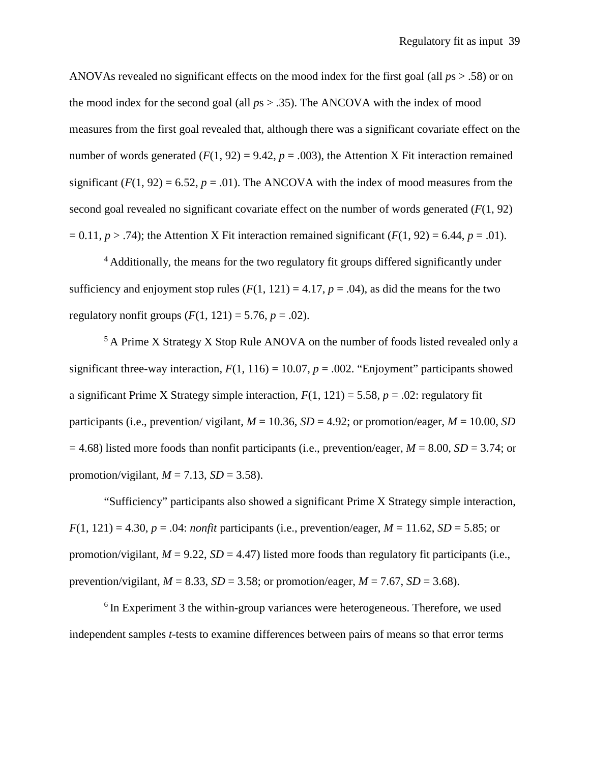ANOVAs revealed no significant effects on the mood index for the first goal (all *p*s > .58) or on the mood index for the second goal (all *p*s > .35). The ANCOVA with the index of mood measures from the first goal revealed that, although there was a significant covariate effect on the number of words generated  $(F(1, 92) = 9.42, p = .003)$ , the Attention X Fit interaction remained significant  $(F(1, 92) = 6.52, p = .01)$ . The ANCOVA with the index of mood measures from the second goal revealed no significant covariate effect on the number of words generated (*F*(1, 92)  $= 0.11, p > .74$ ; the Attention X Fit interaction remained significant ( $F(1, 92) = 6.44, p = .01$ ).

<sup>4</sup> Additionally, the means for the two regulatory fit groups differed significantly under sufficiency and enjoyment stop rules  $(F(1, 121) = 4.17, p = .04)$ , as did the means for the two regulatory nonfit groups  $(F(1, 121) = 5.76, p = .02)$ .

<sup>5</sup> A Prime X Strategy X Stop Rule ANOVA on the number of foods listed revealed only a significant three-way interaction,  $F(1, 116) = 10.07$ ,  $p = .002$ . "Enjoyment" participants showed a significant Prime X Strategy simple interaction,  $F(1, 121) = 5.58$ ,  $p = .02$ : regulatory fit participants (i.e., prevention/ vigilant,  $M = 10.36$ ,  $SD = 4.92$ ; or promotion/eager,  $M = 10.00$ ,  $SD$  $= 4.68$ ) listed more foods than nonfit participants (i.e., prevention/eager,  $M = 8.00$ ,  $SD = 3.74$ ; or promotion/vigilant,  $M = 7.13$ ,  $SD = 3.58$ ).

"Sufficiency" participants also showed a significant Prime X Strategy simple interaction,  $F(1, 121) = 4.30$ ,  $p = .04$ : *nonfit* participants (i.e., prevention/eager,  $M = 11.62$ ,  $SD = 5.85$ ; or promotion/vigilant,  $M = 9.22$ ,  $SD = 4.47$ ) listed more foods than regulatory fit participants (i.e., prevention/vigilant,  $M = 8.33$ ,  $SD = 3.58$ ; or promotion/eager,  $M = 7.67$ ,  $SD = 3.68$ ).

<sup>6</sup> In Experiment 3 the within-group variances were heterogeneous. Therefore, we used independent samples *t*-tests to examine differences between pairs of means so that error terms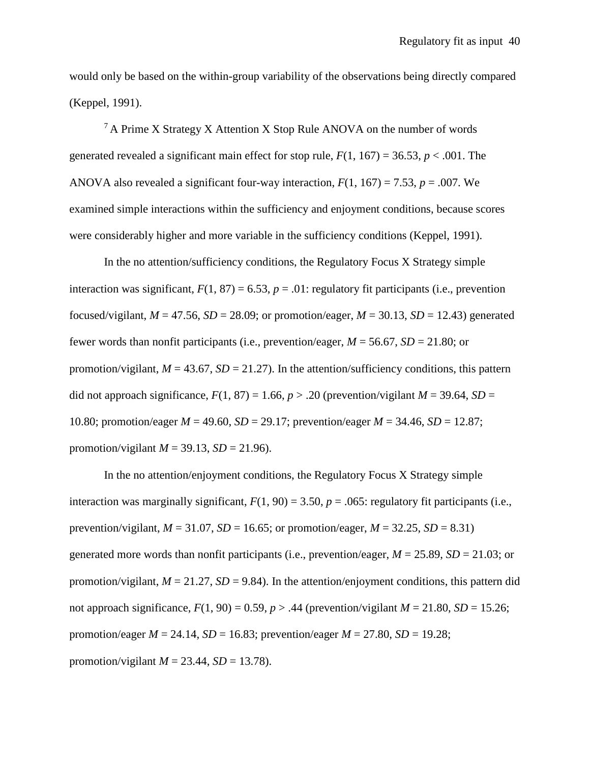would only be based on the within-group variability of the observations being directly compared (Keppel, 1991).

 $7$  A Prime X Strategy X Attention X Stop Rule ANOVA on the number of words generated revealed a significant main effect for stop rule,  $F(1, 167) = 36.53$ ,  $p < .001$ . The ANOVA also revealed a significant four-way interaction,  $F(1, 167) = 7.53$ ,  $p = .007$ . We examined simple interactions within the sufficiency and enjoyment conditions, because scores were considerably higher and more variable in the sufficiency conditions (Keppel, 1991).

In the no attention/sufficiency conditions, the Regulatory Focus X Strategy simple interaction was significant,  $F(1, 87) = 6.53$ ,  $p = .01$ : regulatory fit participants (i.e., prevention focused/vigilant,  $M = 47.56$ ,  $SD = 28.09$ ; or promotion/eager,  $M = 30.13$ ,  $SD = 12.43$ ) generated fewer words than nonfit participants (i.e., prevention/eager,  $M = 56.67$ ,  $SD = 21.80$ ; or promotion/vigilant,  $M = 43.67$ ,  $SD = 21.27$ ). In the attention/sufficiency conditions, this pattern did not approach significance,  $F(1, 87) = 1.66$ ,  $p > .20$  (prevention/vigilant  $M = 39.64$ ,  $SD =$ 10.80; promotion/eager *M* = 49.60, *SD* = 29.17; prevention/eager *M* = 34.46, *SD* = 12.87; promotion/vigilant  $M = 39.13$ ,  $SD = 21.96$ ).

In the no attention/enjoyment conditions, the Regulatory Focus X Strategy simple interaction was marginally significant,  $F(1, 90) = 3.50$ ,  $p = .065$ : regulatory fit participants (i.e., prevention/vigilant,  $M = 31.07$ ,  $SD = 16.65$ ; or promotion/eager,  $M = 32.25$ ,  $SD = 8.31$ ) generated more words than nonfit participants (i.e., prevention/eager,  $M = 25.89$ ,  $SD = 21.03$ ; or promotion/vigilant,  $M = 21.27$ ,  $SD = 9.84$ ). In the attention/enjoyment conditions, this pattern did not approach significance,  $F(1, 90) = 0.59$ ,  $p > .44$  (prevention/vigilant  $M = 21.80$ ,  $SD = 15.26$ ; promotion/eager  $M = 24.14$ ,  $SD = 16.83$ ; prevention/eager  $M = 27.80$ ,  $SD = 19.28$ ; promotion/vigilant  $M = 23.44$ ,  $SD = 13.78$ ).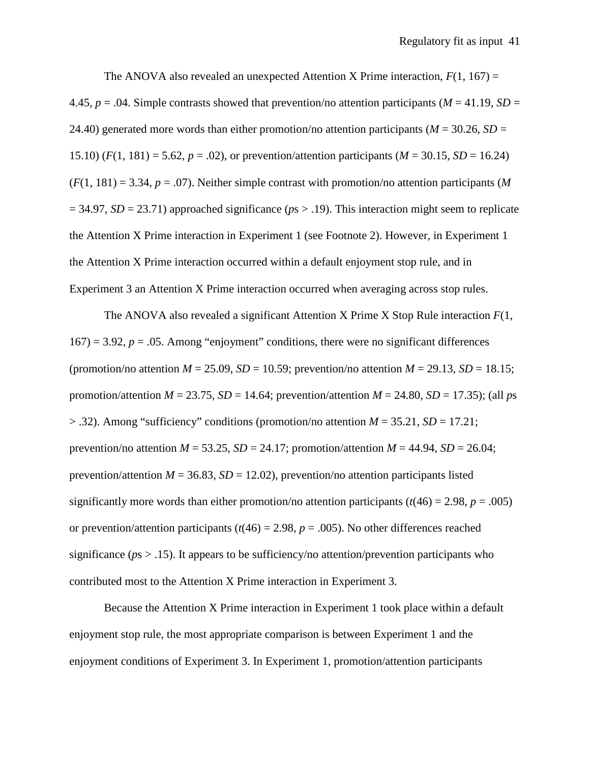The ANOVA also revealed an unexpected Attention X Prime interaction,  $F(1, 167) =$ 4.45,  $p = .04$ . Simple contrasts showed that prevention/no attention participants ( $M = 41.19$ ,  $SD =$ 24.40) generated more words than either promotion/no attention participants ( $M = 30.26$ ,  $SD =$ 15.10) ( $F(1, 181) = 5.62$ ,  $p = .02$ ), or prevention/attention participants ( $M = 30.15$ ,  $SD = 16.24$ )  $(F(1, 181) = 3.34, p = .07)$ . Neither simple contrast with promotion/no attention participants (*M*  $= 34.97$ , *SD* = 23.71) approached significance ( $ps > .19$ ). This interaction might seem to replicate the Attention X Prime interaction in Experiment 1 (see Footnote 2). However, in Experiment 1 the Attention X Prime interaction occurred within a default enjoyment stop rule, and in Experiment 3 an Attention X Prime interaction occurred when averaging across stop rules.

The ANOVA also revealed a significant Attention X Prime X Stop Rule interaction *F*(1,  $167$ ) = 3.92,  $p = 0.05$ . Among "enjoyment" conditions, there were no significant differences (promotion/no attention  $M = 25.09$ ,  $SD = 10.59$ ; prevention/no attention  $M = 29.13$ ,  $SD = 18.15$ ; promotion/attention  $M = 23.75$ ,  $SD = 14.64$ ; prevention/attention  $M = 24.80$ ,  $SD = 17.35$ ); (all ps  $> .32$ ). Among "sufficiency" conditions (promotion/no attention  $M = 35.21$ ,  $SD = 17.21$ ; prevention/no attention  $M = 53.25$ ,  $SD = 24.17$ ; promotion/attention  $M = 44.94$ ,  $SD = 26.04$ ; prevention/attention  $M = 36.83$ ,  $SD = 12.02$ ), prevention/no attention participants listed significantly more words than either promotion/no attention participants  $(t(46) = 2.98, p = .005)$ or prevention/attention participants  $(t(46) = 2.98, p = .005)$ . No other differences reached significance ( $ps > .15$ ). It appears to be sufficiency/no attention/prevention participants who contributed most to the Attention X Prime interaction in Experiment 3.

Because the Attention X Prime interaction in Experiment 1 took place within a default enjoyment stop rule, the most appropriate comparison is between Experiment 1 and the enjoyment conditions of Experiment 3. In Experiment 1, promotion/attention participants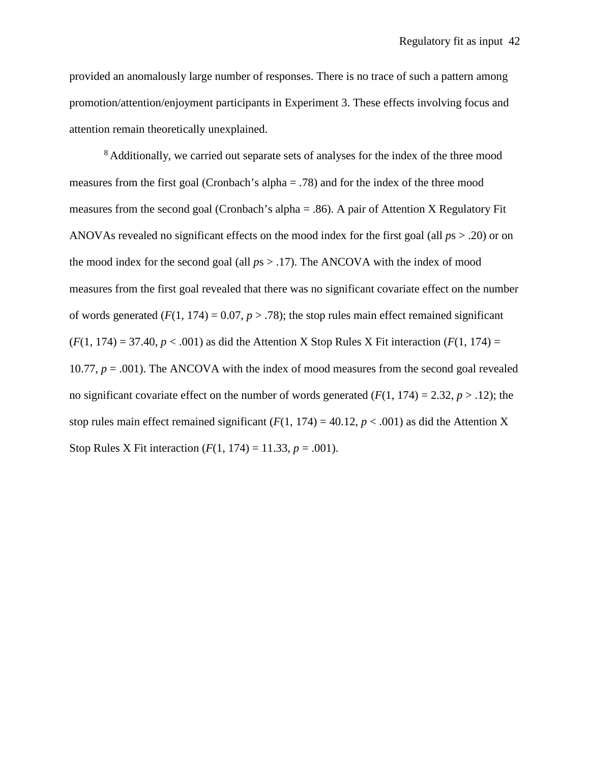provided an anomalously large number of responses. There is no trace of such a pattern among promotion/attention/enjoyment participants in Experiment 3. These effects involving focus and attention remain theoretically unexplained.

<sup>8</sup> Additionally, we carried out separate sets of analyses for the index of the three mood measures from the first goal (Cronbach's alpha = .78) and for the index of the three mood measures from the second goal (Cronbach's alpha = .86). A pair of Attention X Regulatory Fit ANOVAs revealed no significant effects on the mood index for the first goal (all *p*s > .20) or on the mood index for the second goal (all *p*s > .17). The ANCOVA with the index of mood measures from the first goal revealed that there was no significant covariate effect on the number of words generated ( $F(1, 174) = 0.07$ ,  $p > .78$ ); the stop rules main effect remained significant  $(F(1, 174) = 37.40, p < .001)$  as did the Attention X Stop Rules X Fit interaction  $(F(1, 174) =$ 10.77,  $p = .001$ ). The ANCOVA with the index of mood measures from the second goal revealed no significant covariate effect on the number of words generated  $(F(1, 174) = 2.32, p > .12)$ ; the stop rules main effect remained significant  $(F(1, 174) = 40.12, p < .001)$  as did the Attention X Stop Rules X Fit interaction  $(F(1, 174) = 11.33, p = .001)$ .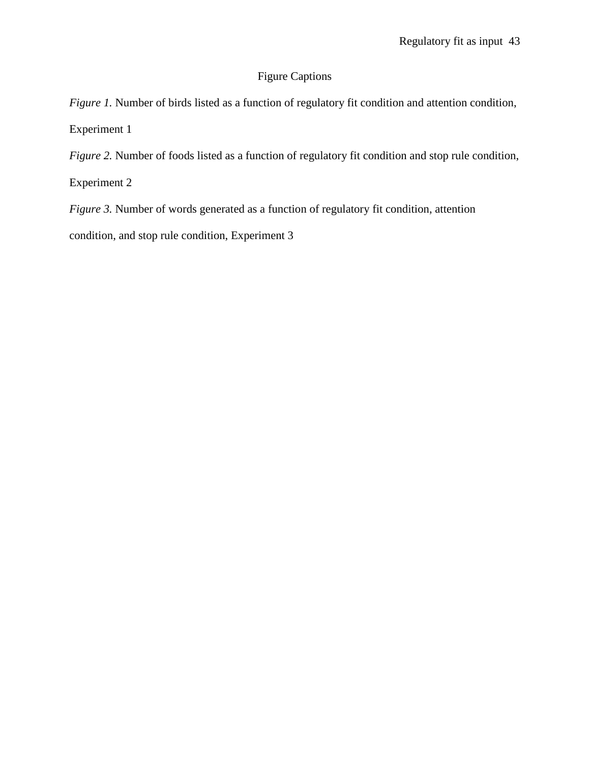## Figure Captions

*Figure 1*. Number of birds listed as a function of regulatory fit condition and attention condition, Experiment 1

*Figure 2.* Number of foods listed as a function of regulatory fit condition and stop rule condition,

Experiment 2

*Figure 3.* Number of words generated as a function of regulatory fit condition, attention

condition, and stop rule condition, Experiment 3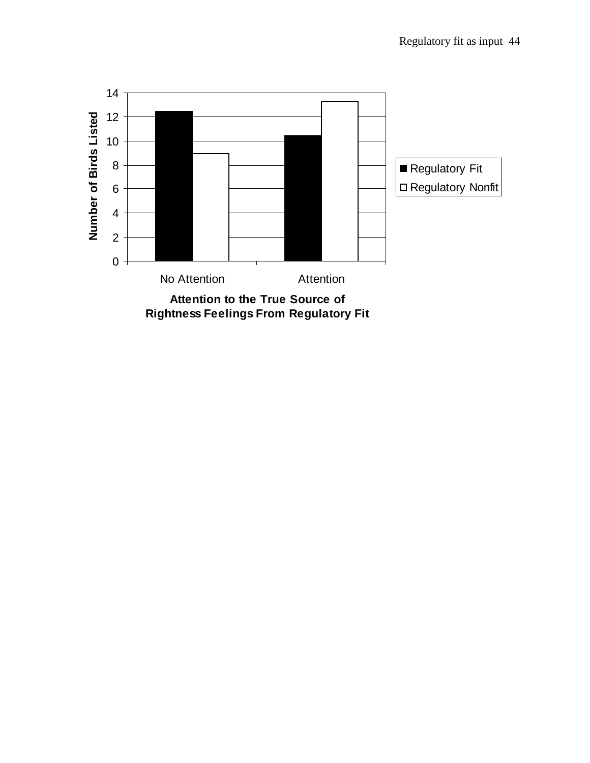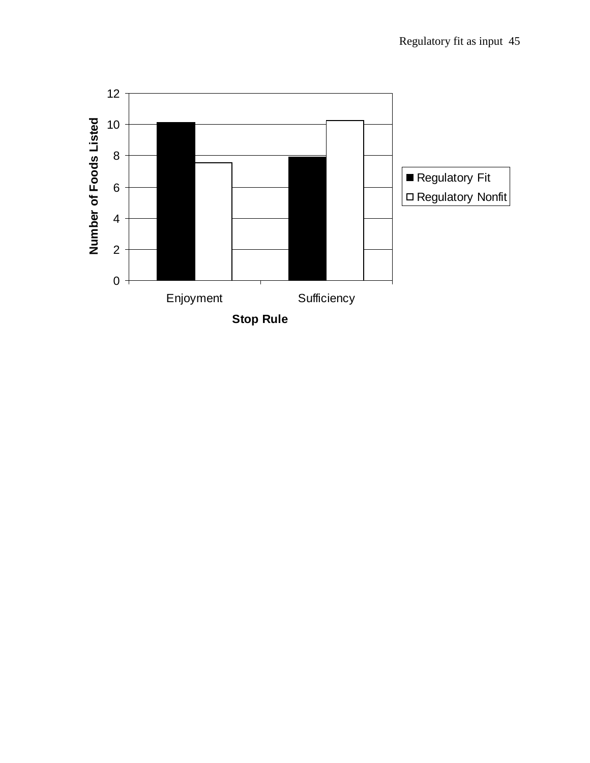